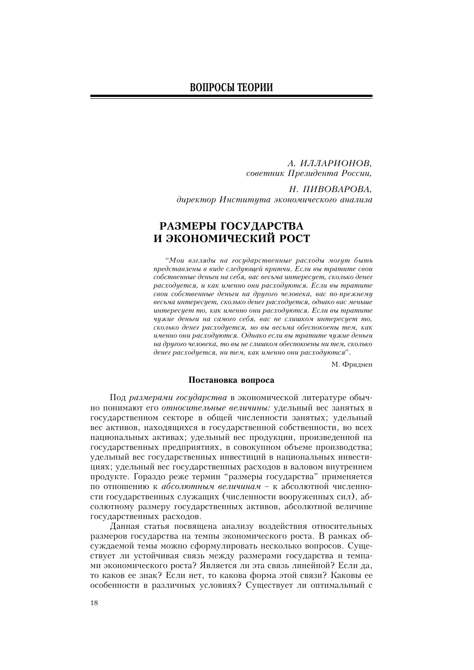А. ИЛЛАРИОНОВ. советник Президента России,

Н. ПИВОВАРОВА. директор Института экономического анализа

# РАЗМЕРЫ ГОСУДАРСТВА И ЭКОНОМИЧЕСКИЙ РОСТ

"Мои взгляды на государственные расходы могут быть представлены в виде следующей притчи. Если вы тратите свои собственные деньги на себя, вас весьма интересует, сколько денег расходуется, и как именно они расходуются. Если вы тратите свои собственные деньги на другого человека, вас по-прежнему весьма интересует, сколько денег расходуется, однако вас меньше интересует то, как именно они расходуются. Если вы тратите чужие деньги на самого себя, вас не слишком интересует то, сколько денег расходуется, но вы весьма обеспокоены тем, как именно они расходуются. Однако если вы тратите чужие деньги на другого человека, то вы не слишком обеспокоены ни тем, сколько денег расходуется, ни тем, как именно они расходуются".

М. Фридмен

## Постановка вопроса

Под размерами государства в экономической литературе обычно понимают его относительные величины: удельный вес занятых в государственном секторе в общей численности занятых; удельный вес активов, находящихся в государственной собственности, во всех национальных активах; удельный вес продукции, произведенной на государственных предприятиях, в совокупном объеме производства; удельный вес государственных инвестиций в национальных инвестициях; удельный вес государственных расходов в валовом внутреннем продукте. Гораздо реже термин "размеры государства" применяется по отношению к абсолютным величинам - к абсолютной численности государственных служащих (численности вооруженных сил), абсолютному размеру государственных активов, абсолютной величине государственных расходов.

Данная статья посвящена анализу воздействия относительных размеров государства на темпы экономического роста. В рамках обсуждаемой темы можно сформулировать несколько вопросов. Существует ли устойчивая связь между размерами государства и темпами экономического роста? Является ли эта связь линейной? Если да, то каков ее знак? Если нет, то какова форма этой связи? Каковы ее особенности в различных условиях? Существует ли оптимальный с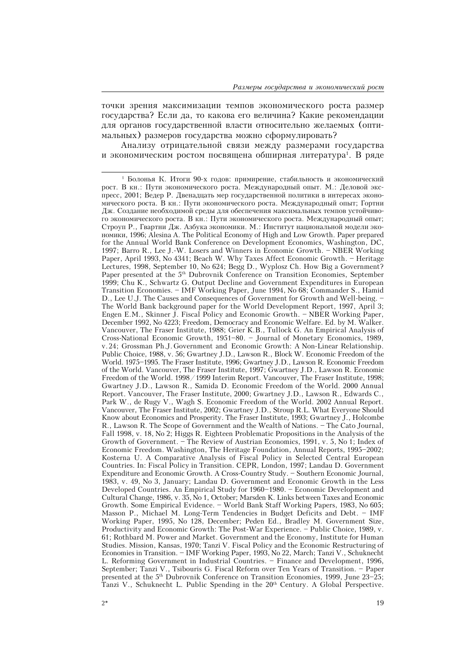точки зрения максимизации темпов экономического роста размер государства? Если да, то какова его величина? Какие рекомендации для органов государственной власти относительно желаемых (оптимальных) размеров государства можно сформулировать?

Анализу отрицательной связи между размерами государства и экономическим ростом посвящена обширная литература<sup>1</sup>. В ряде

<sup>&</sup>lt;sup>1</sup> Болонья К. Итоги 90-х годов: примирение, стабильность и экономический рост. В кн.: Пути экономического роста. Международный опыт. М.: Деловой экспресс, 2001; Ведер Р. Двенадцать мер государственной политики в интересах экономического роста. В кн.: Пути экономического роста. Международный опыт; Гортни Дж. Создание необходимой среды для обеспечения максимальных темпов устойчивого экономического роста. В кн.: Пути экономического роста. Международный опыт; Строуп Р., Гвартни Дж. Азбука экономики. М.: Институт национальной модели экоíîìèêè, 1996; Alesina A. The Political Economy of High and Low Growth. Paper prepared for the Annual World Bank Conference on Development Economics, Washington, DC, 1997; Barro R., Lee J.-W. Losers and Winners in Economic Growth. - NBER Working Paper, April 1993, No 4341; Beach W. Why Taxes Affect Economic Growth. - Heritage Lectures, 1998, September 10, No 624; Begg D., Wyplosz Ch. How Big a Government? Paper presented at the 5<sup>th</sup> Dubrovnik Conference on Transition Economies, September 1999; Chu K., Schwartz G. Output Decline and Government Expenditures in European Transition Economies. IMF Working Paper, June 1994, No 68; Commander S., Hamid D., Lee U.J. The Causes and Consequences of Government for Growth and Well-being. The World Bank background paper for the World Development Report, 1997, April 3; Engen E.M., Skinner J. Fiscal Policy and Economic Growth. NBER Working Paper, December 1992, No 4223; Freedom, Democracy and Economic Welfare. Ed. by M. Walker. Vancouver, The Fraser Institute, 1988; Grier K.B., Tullock G. An Empirical Analysis of Cross-National Economic Growth, 1951-80. - Journal of Monetary Economics, 1989, v. 24; Grossman Ph.J. Government and Economic Growth: A Non-Linear Relationship. Public Choice, 1988, v. 56; Gwartney J.D., Lawson R., Block W. Economic Freedom of the World. 1975-1995. The Fraser Institute, 1996; Gwartney J.D., Lawson R. Economic Freedom of the World. Vancouver, The Fraser Institute, 1997; Gwartney J.D., Lawson R. Economic Freedom of the World. 1998 / 1999 Interim Report. Vancouver, The Fraser Institute, 1998; Gwartney J.D., Lawson R., Samida D. Economic Freedom of the World. 2000 Annual Report. Vancouver, The Fraser Institute, 2000; Gwartney J.D., Lawson R., Edwards C., Park W., de Rugy V., Wagh S. Economic Freedom of the World. 2002 Annual Report. Vancouver, The Fraser Institute, 2002; Gwartney J.D., Stroup R.L. What Everyone Should Know about Economics and Prosperity. The Fraser Institute, 1993; Gwartney J., Holcombe R., Lawson R. The Scope of Government and the Wealth of Nations. The Cato Journal, Fall 1998, v. 18, No 2; Higgs R. Eighteen Problematic Propositions in the Analysis of the Growth of Government. The Review of Austrian Economics, 1991, v. 5, No 1; Index of Economic Freedom. Washington, The Heritage Foundation, Annual Reports, 1995–2002; Kosterna U. A Comparative Analysis of Fiscal Policy in Selected Central European Countries. In: Fiscal Policy in Transition. CEPR, London, 1997; Landau D. Government Expenditure and Economic Growth. A Cross-Country Study. - Southern Economic Journal, 1983, v. 49, No 3, January; Landau D. Government and Economic Growth in the Less Developed Countries. An Empirical Study for 1960–1980. – Economic Development and Cultural Change, 1986, v. 35, No 1, October; Marsden K. Links between Taxes and Economic Growth. Some Empirical Evidence. World Bank Staff Working Papers, 1983, No 605; Masson P., Michael M. Long-Term Tendencies in Budget Deficits and Debt. IMF Working Paper, 1995, No 128, December; Peden Ed., Bradley M. Government Size, Productivity and Economic Growth: The Post-War Experience. Public Choice, 1989, v. 61; Rothbard M. Power and Market. Government and the Economy, Institute for Human Studies. Mission, Kansas, 1970; Tanzi V. Fiscal Policy and the Economic Restructuring of Economies in Transition. IMF Working Paper, 1993, No 22, March; Tanzi V., Schuknecht L. Reforming Government in Industrial Countries. Finance and Development, 1996, September; Tanzi V., Tsibouris G. Fiscal Reform over Ten Years of Transition. Paper presented at the 5<sup>th</sup> Dubrovnik Conference on Transition Economies, 1999, June 23–25; Tanzi V., Schuknecht L. Public Spending in the 20<sup>th</sup> Century. A Global Perspective.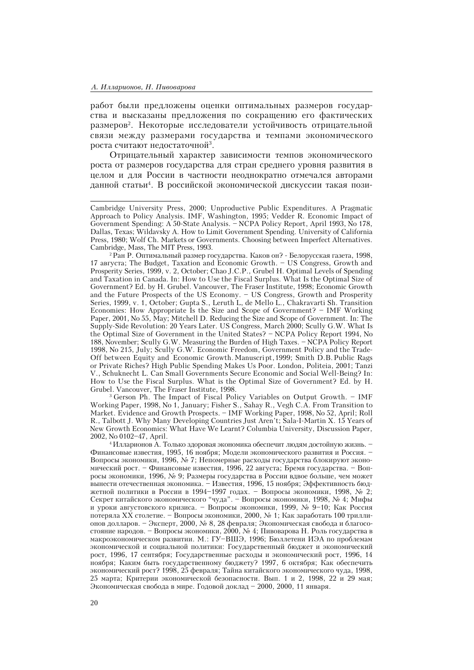работ были предложены оценки оптимальных размеров государства и высказаны предложения по сокращению его фактических размеров<sup>2</sup>. Некоторые исследователи устойчивость отрицательной связи между размерами государства и темпами экономического роста считают недостаточной<sup>з</sup>.

Отрицательный характер зависимости темпов экономического роста от размеров государства для стран среднего уровня развития в целом и для России в частности неоднократно отмечался авторами данной статьи<sup>4</sup>. В российской экономической дискуссии такая пози-

3 Gerson Ph. The Impact of Fiscal Policy Variables on Output Growth. IMF Working Paper, 1998, No 1, January; Fisher S., Sahay R., Vegh C.A. From Transition to Market. Evidence and Growth Prospects. IMF Working Paper, 1998, No 52, April; Roll R., Talbott J. Why Many Developing Countries Just Aren't; Sala-I-Martin X. 15 Years of New Growth Economics: What Have We Learnt? Columbia University, Discussion Paper, 2002, No 0102-47, April.

 $4$ Илларионов А. Только здоровая экономика обеспечит людям достойную жизнь. Финансовые известия, 1995, 16 ноября; Модели экономического развития и Россия. -Вопросы экономики, 1996, № 7; Непомерные расходы государства блокируют экономический рост. – Финансовые известия, 1996, 22 августа; Бремя государства. – Вопросы экономики, 1996, № 9; Размеры государства в России вдвое больше, чем может вынести отечественная экономика. - Известия, 1996, 15 ноября; Эффективность бюджетной политики в России в 1994–1997 годах. – Вопросы экономики, 1998, № 2; Секрет китайского экономического "чуда". – Вопросы экономики, 1998, № 4; Мифы и уроки августовского кризиса. - Вопросы экономики, 1999, № 9-10; Как Россия потеряла XX столетие. - Вопросы экономики, 2000,  $\mathcal N$ е 1; Как заработать 100 триллионов долларов. - Эксперт, 2000, № 8, 28 февраля; Экономическая свобода и благосостояние народов. – Вопросы экономики, 2000, № 4; Пивоварова Н. Роль государства в макроэкономическом развитии. М.: ГУ-ВШЭ, 1996; Бюллетени ИЭА по проблемам экономической и социальной политики: Государственный бюджет и экономический рост, 1996, 17 сентября; Государственные расходы и экономический рост, 1996, 14 ноября; Каким быть государственному бюджету? 1997, 6 октября; Как обеспечить экономический рост? 1998, 25 февраля; Тайна китайского экономического чуда, 1998, 25 марта; Критерии экономической безопасности. Вып. 1 и 2, 1998, 22 и 29 мая; Экономическая свобода в мире. Годовой доклад - 2000, 2000, 11 января.

Cambridge University Press, 2000; Unproductive Public Expenditures. A Pragmatic Approach to Policy Analysis. IMF, Washington, 1995; Vedder R. Economic Impact of Government Spending: A 50-State Analysis. - NCPA Policy Report, April 1993, No 178, Dallas, Texas; Wildavsky A. How to Limit Government Spending. University of California Press, 1980; Wolf Ch. Markets or Governments. Choosing between Imperfect Alternatives. Cambridge, Mass, The MIT Press, 1993.

 $2$ Ран Р. Оптимальный размер государства. Каков он? - Белорусская газета, 1998, 17 àâãóñòà; The Budget, Taxation and Economic Growth. US Congress, Growth and Prosperity Series, 1999, v. 2, October; Chao J.C.P., Grubel H. Optimal Levels of Spending and Taxation in Canada. In: How to Use the Fiscal Surplus. What Is the Optimal Size of Government? Ed. by H. Grubel. Vancouver, The Fraser Institute, 1998; Economic Growth and the Future Prospects of the US Economy. - US Congress, Growth and Prosperity Series, 1999, v. 1, October; Gupta S., Leruth L, de Mello L., Chakravarti Sh. Transition Economies: How Appropriate Is the Size and Scope of Government? IMF Working Paper, 2001, No 55, May; Mitchell D. Reducing the Size and Scope of Government. In: The Supply-Side Revolution: 20 Years Later. US Congress, March 2000; Scully G.W. What Is the Optimal Size of Government in the United States? – NCPA Policy Report 1994, No 188, November; Scully G.W. Measuring the Burden of High Taxes. - NCPA Policy Report 1998, No 215, July; Scully G.W. Economic Freedom, Government Policy and the Trade-Off between Equity and Economic Growth. Manuscri pt, 1999; Smith D.B. Public Rags or Private Riches? High Public Spending Makes Us Poor. London, Politeia, 2001; Tanzi V., Schuknecht L. Can Small Governments Secure Economic and Social Well-Being? In: How to Use the Fiscal Surplus. What is the Optimal Size of Government? Ed. by H. Grubel. Vancouver, The Fraser Institute, 1998.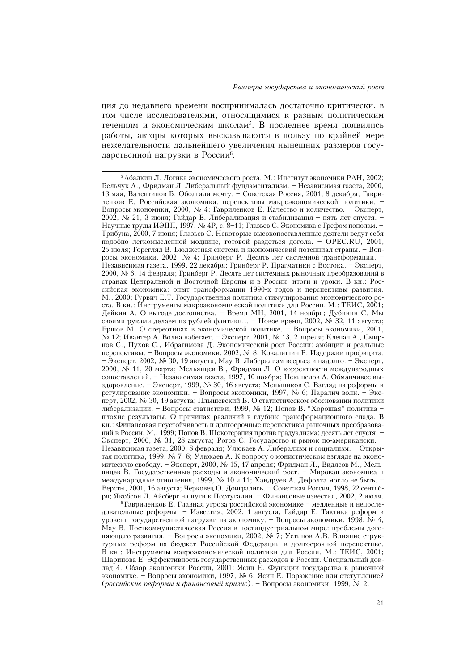ция до недавнего времени воспринималась достаточно критически, в том числе исследователями, относящимися к разным политическим течениям и экономическим школам<sup>5</sup>. В последнее время появились работы, авторы которых высказываются в пользу по крайней мере нежелательности дальнейшего увеличения нынешних размеров государственной нагрузки в России<sup>6</sup>.

 $5$  Абалкин Л. Логика экономического роста. М.: Институт экономики РАН, 2002; Бельчук А., Фридман Л. Либеральный фундаментализм. - Независимая газета, 2000, 13 мая; Валентинов Б. Оболгали мечту. - Советская Россия, 2001, 8 декабря; Гавриленков Е. Российская экономика: перспективы макроэкономической политики. -Вопросы экономики, 2000, № 4; Гавриленков Е. Качество и количество. - Эксперт, 2002, № 21, 3 июня; Гайдар Е. Либерализация и стабилизация - пять лет спустя. -Научные труды ИЭПП, 1997, № 4Р, с. 8-11; Глазьев С. Экономика с Грефом поподам. – Трибуна, 2000, 7 июня; Глазьев С. Некоторые высокопоставленные деятели ведут себя подобно легкомысленной моднице, готовой раздеться догола. - OPEC.RU, 2001, 25 июля; Горегляд В. Бюджетная система и экономический потенциал страны. - Вопросы экономики, 2002, № 4; Гринберг Р. Десять лет системной трансформации. -Независимая газета, 1999, 22 декабря; Гринберг Р. Прагматики с Востока. - Эксперт, 2000, № 6, 14 февраля; Гринберг Р. Десять лет системных рыночных преобразований в странах Центральной и Восточной Европы и в России: итоги и уроки. В кн.: Российская экономика: опыт трансформации 1990-х годов и перспективы развития. М., 2000; Гурвич Е.Т. Государственная политика стимулирования экономического роста. В кн.: Инструменты макроэкономической политики для России. М.: ТЕИС, 2001; Дейкин А. О выгоде достоинства. - Время МН, 2001, 14 ноября; Дубинин С. Мы своими руками делаем из рублей фантики... - Новое время, 2002, № 32, 11 августа; Ершов М. О стереотипах в экономической политике. - Вопросы экономики, 2001, № 12; Ивантер А. Волна набегает. – Эксперт, 2001, № 13, 2 апреля; Клепач А., Смирнов С., Пухов С., Ибрагимова Д. Экономический рост России: амбиции и реальные перспективы. - Вопросы экономики, 2002, № 8; Ковалишин Е. Издержки профицита.  $\overline{\phantom{a}}$ Э́ксперт, 2002, № 30, 19 августа; Мау В. Либерализм всерьез и надолго.  $\overline{\phantom{a}}$ Эксперт, 2000, № 11, 20 марта; Мельянцев В., Фридман Л. О корректности международных сопоставлений. - Независимая газета, 1997, 10 ноября; Некипелов А. Обманчивое выздоровление. - Эксперт, 1999, № 30, 16 августа; Меньшиков С. Взгляд на реформы и регулирование экономики. - Вопросы экономики, 1997, № 6; Паралич воли. - Эксперт, 2002, № 30, 19 августа; Плышевский Б. О статистическом обосновании политики либерализации. - Вопросы статистики, 1999, № 12; Попов В. "Хорошая" политика плохие результаты. О причинах различий в глубине трансформационного спада. В кн.: Финансовая неустойчивость и долгосрочные перспективы рыночных преобразований в России. М., 1999; Попов В. Шокотерапия против градуализма: десять лет спустя. -Эксперт, 2000, № 31, 28 августа; Рогов С. Государство и рынок по-американски. -Независимая газета, 2000, 8 февраля; Улюкаев А. Либерализм и социализм. – Открытая политика, 1999, № 7-8; Улюкаев А. К вопросу о монистическом взгляде на экономическую свободу. - Эксперт, 2000, № 15, 17 апреля; Фридман Л., Видясов М., Мельянцев В. Государственные расходы и экономический рост. - Мировая экономика и международные отношения, 1999, № 10 и 11; Хандруев А. Дефолта могло не быть. -Версты, 2001, 16 августа; Черковец О. Доигрались. - Советская Россия, 1998, 22 сентября; Якобсон Л. Айсберг на пути к Португалии. – Финансовые известия, 2002, 2 июля.

 $6$ Гавриленков Е. Главная угроза российской экономике - медленные и непоследовательные реформы. - Известия, 2002, 1 августа; Гайдар Е. Тактика реформ и уровень государственной нагрузки на экономику. – Вопросы экономики, 1998, № 4; Мау В. Посткоммунистическая Россия в постиндустриальном мире: проблемы догоняющего развития. - Вопросы экономики, 2002, № 7; Устинов А.В. Влияние структурных реформ на бюджет Российской Федерации в долгосрочной перспективе. В кн.: Инструменты макроэкономической политики для России. М.: ТЕИС, 2001; Шарипова Е. Эффективность государственных расходов в России. Специальный доклад 4. Обзор экономики России, 2001; Ясин Е. Функции государства в рыночной экономике. - Вопросы экономики, 1997, № 6; Ясин Е. Поражение или отступление? (российские реформы и финансовый кризис). - Вопросы экономики, 1999, № 2.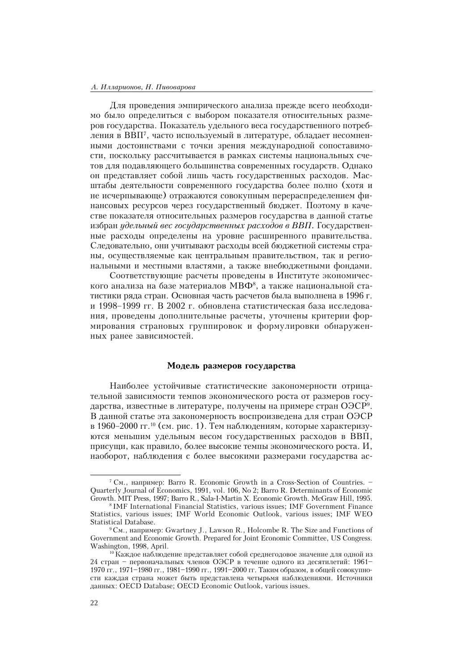#### А. Илларионов, Н. Пивоварова

Для проведения эмпирического анализа прежде всего необходимо было определиться с выбором показателя относительных размеров государства. Показатель удельного веса государственного потребления в ВВП<sup>7</sup>, часто используемый в литературе, обладает несомненными достоинствами с точки зрения международной сопоставимости, поскольку рассчитывается в рамках системы национальных счетов для подавляющего большинства современных государств. Однако он представляет собой лишь часть государственных расходов. Масштабы деятельности современного государства более полно (хотя и не исчерпывающе) отражаются совокупным перераспределением финансовых ресурсов через государственный бюджет. Поэтому в качестве показателя относительных размеров государства в данной статье избран удельный вес государственных расходов в ВВП. Государственные расходы определены на уровне расширенного правительства. Следовательно, они учитывают расходы всей бюджетной системы страны, осуществляемые как центральным правительством, так и региональными и местными властями, а также внебюджетными фондами.

Соответствующие расчеты проведены в Институте экономического анализа на базе материалов МВФ<sup>8</sup>, а также национальной статистики ряда стран. Основная часть расчетов была выполнена в 1996 г. и 1998-1999 гг. В 2002 г. обновлена статистическая база исследования, проведены дополнительные расчеты, уточнены критерии формирования страновых группировок и формулировки обнаруженных ранее зависимостей.

### Модель размеров государства

Наиболее устойчивые статистические закономерности отрицательной зависимости темпов экономического роста от размеров государства, известные в литературе, получены на примере стран ОЭСР<sup>9</sup>. В данной статье эта закономерность воспроизведена для стран ОЭСР в 1960–2000 гг.<sup>10</sup> (см. рис. 1). Тем наблюдениям, которые характеризуются меньшим удельным весом государственных расходов в ВВП, присущи, как правило, более высокие темпы экономического роста. И, наоборот, наблюдения с более высокими размерами государства ас-

<sup>&</sup>lt;sup>7</sup> CM., например: Barro R. Economic Growth in a Cross-Section of Countries. -Quarterly Journal of Economics, 1991, vol. 106, No 2; Barro R. Determinants of Economic Growth. MIT Press, 1997; Barro R., Sala-I-Martin X. Economic Growth. McGraw Hill, 1995.

<sup>&</sup>lt;sup>8</sup> IMF International Financial Statistics, various issues; IMF Government Finance Statistics, various issues; IMF World Economic Outlook, various issues; IMF WEO Statistical Database.

<sup>&</sup>lt;sup>9</sup> CM., например: Gwartney J., Lawson R., Holcombe R. The Size and Functions of Government and Economic Growth. Prepared for Joint Economic Committee, US Congress. Washington, 1998, April.

<sup>&</sup>lt;sup>10</sup> Каждое наблюдение представляет собой среднегодовое значение для одной из 24 стран - первоначальных членов ОЭСР в течение одного из десятилетий: 1961-1970 гг., 1971-1980 гг., 1981-1990 гг., 1991-2000 гг. Таким образом, в общей совокупности каждая страна может быть представлена четырьмя наблюдениями. Источники данных: OECD Database; OECD Economic Outlook, various issues.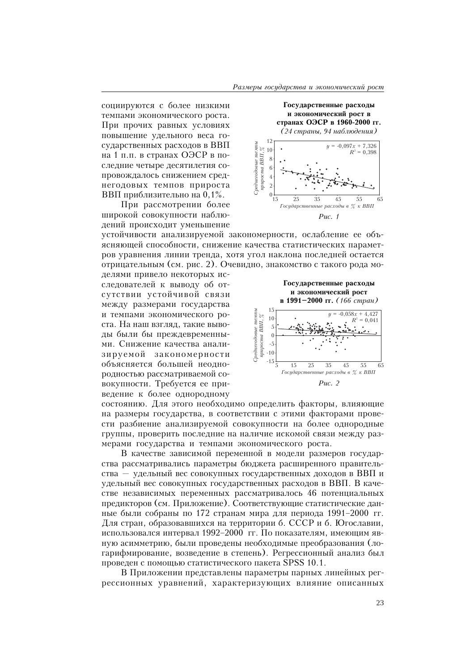Государственные расходы и экономический рост в

странах ОЭСР в 1960-2000 гг.

(24 страны, 94 наблюдения)

 $y = -0.097x + 7.326$  $R^2 = 0,398$ 

Š5

65

социируются с более низкими темпами экономического роста. При прочих равных условиях повышение удельного веса государственных расходов в ВВП на 1 п.п. в странах ОЭСР в последние четыре десятилетия сопровождалось снижением среднегодовых темпов прироста ВВП приблизительно на 0,1%.

При рассмотрении более широкой совокупности наблюдений происходит уменьшение

устойчивости анализируемой закономерности, ослабление ее объясняющей способности, снижение качества статистических параметров уравнения линии тренда, хотя угол наклона последней остается отрицательным (см. рис. 2). Очевидно, знакомство с такого рода мо-

 $\begin{array}{lll} \mbox{\textit{Cpe}}\mbox{\textit{m}}\mbox{\textit{e}}\mbox{\textit{w}}\mbox{\textit{m}}\mbox{\textit{m}}\mbox{\textit{m}}\mbox{\textit{m}}\mbox{\textit{m}}\mbox{\textit{m}}\mbox{\textit{m}}\mbox{\textit{m}}\mbox{\textit{m}}\mbox{\textit{m}}\mbox{\textit{m}}\mbox{\textit{m}}\mbox{\textit{m}}\mbox{\textit{m}}\mbox{\textit{m}}\mbox{\textit{m}}\mbox{\textit{m}}\mbox{\textit{m}}\mbox{\textit{m}}\mbox{\$ 

12

 $\overline{0}$ 

15

 $25$ 

 $\frac{1}{35}$ 

Государственные расходы в % к ВВП

Puc.  $1$ 

 $\overline{45}$ 

делями привело некоторых исследователей к выводу об отсутствии устойчивой связи между размерами государства и темпами экономического роста. На наш взгляд, такие выводы были бы преждевременными. Снижение качества анализируемой закономерности объясняется большей неоднородностью рассматриваемой совокупности. Требуется ее приведение к более однородному



состоянию. Для этого необходимо определить факторы, влияющие на размеры государства, в соответствии с этими факторами провести разбиение анализируемой совокупности на более однородные группы, проверить последние на наличие искомой связи между размерами государства и темпами экономического роста.

В качестве зависимой переменной в модели размеров государства рассматривались параметры бюджета расширенного правительства - удельный вес совокупных государственных доходов в ВВП и удельный вес совокупных государственных расходов в ВВП. В качестве независимых переменных рассматривалось 46 потенциальных предикторов (см. Приложение). Соответствующие статистические данные были собраны по 172 странам мира для периода 1991-2000 гг. Для стран, образовавшихся на территории 6. СССР и 6. Югославии, использовался интервал 1992-2000 гг. По показателям, имеющим явную асимметрию, были проведены необходимые преобразования (логарифмирование, возведение в степень). Регрессионный анализ был проведен с помощью статистического пакета SPSS 10.1.

В Приложении представлены параметры парных линейных регрессионных уравнений, характеризующих влияние описанных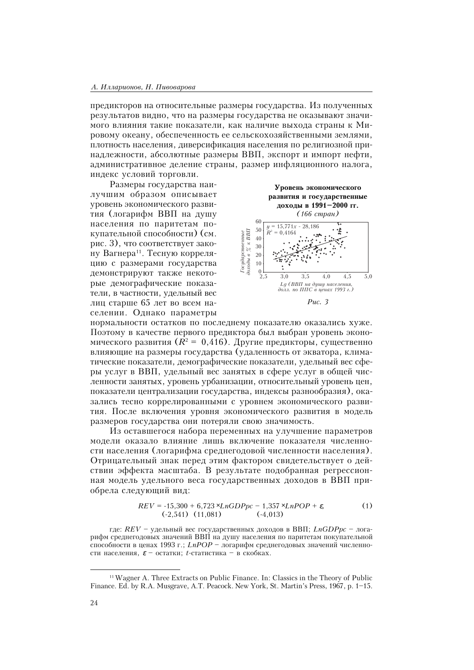#### А. Илларионов, Н. Пивоварова

предикторов на относительные размеры государства. Из полученных результатов видно, что на размеры государства не оказывают значимого влияния такие показатели, как наличие выхода страны к Мировому океану, обеспеченность ее сельскохозяйственными землями, плотность населения, диверсификация населения по религиозной принадлежности, абсолютные размеры ВВП, экспорт и импорт нефти, административное деление страны, размер инфляционного налога, индекс условий торговли.

Размеры государства наилучшим образом описывает уровень экономического развития (логарифм ВВП на лушу населения по паритетам покупательной способности) (см. рис. 3), что соответствует закону Вагнера<sup>11</sup>. Тесную корреляцию с размерами государства демонстрируют также некоторые демографические показатели, в частности, удельный вес лиц старше 65 лет во всем населении. Однако параметры



нормальности остатков по последнему показателю оказались хуже. Поэтому в качестве первого предиктора был выбран уровень экономического развития  $(R^2 = 0.416)$ . Другие предикторы, существенно влияющие на размеры государства (удаленность от экватора, климатические показатели, демографические показатели, удельный вес сферы услуг в ВВП, удельный вес занятых в сфере услуг в общей численности занятых, уровень урбанизации, относительный уровень цен, показатели централизации государства, индексы разнообразия), оказались тесно коррелированными с уровнем экономического развития. После включения уровня экономического развития в модель размеров государства они потеряли свою значимость.

Из оставшегося набора переменных на улучшение параметров модели оказало влияние лишь включение показателя численности населения (логарифма среднегодовой численности населения). Отрицательный знак перед этим фактором свидетельствует о действии эффекта масштаба. В результате подобранная регрессионная модель удельного веса государственных доходов в ВВП приобрела следующий вид:

$$
REV = -15,300 + 6,723 \times LnGDPpc - 1,357 \times LnPOP + \varepsilon,
$$
  
(-2,541) (11,081) (-4,013)

где:  $REV$  – удельный вес государственных доходов в ВВП;  $LnGDPpc$  – логарифм среднегодовых значений ВВП на душу населения по паритетам покупательной способности в ценах 1993 г.; LnPOP - логарифм среднегодовых значений численности населения,  $\varepsilon$  - остатки; t-статистика - в скобках.

<sup>&</sup>lt;sup>11</sup> Wagner A. Three Extracts on Public Finance. In: Classics in the Theory of Public Finance. Ed. by R.A. Musgrave, A.T. Peacock. New York, St. Martin's Press, 1967, p. 1–15.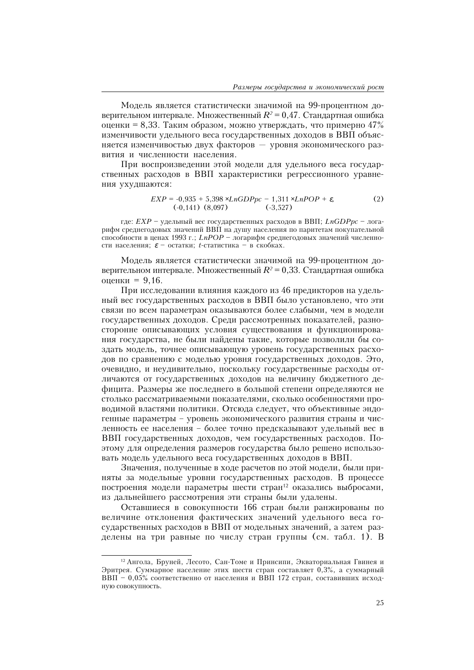Модель является статистически значимой на 99-процентном доверительном интервале. Множественный  $R^{\scriptscriptstyle 2}$  = 0,47. Стандартная ошибка оценки = 8,33. Таким образом, можно утверждать, что примерно 47% изменчивости удельного веса государственных доходов в ВВП объясняется изменчивостью двух факторов — уровня экономического развития и численности населения.

При воспроизведении этой модели для удельного веса государственных расходов в ВВП характеристики регрессионного уравнения ухудшаются:

$$
EXP = -0.935 + 5.398 \times LnGDPpc - 1.311 \times LnPOP + \varepsilon,
$$
  
(-0.141) (8.097) (-3.527)

где:  $EXP$  – удельный вес государственных расходов в ВВП;  $LnGDPpc$  – логарифм среднегодовых значений ВВП на душу населения по паритетам покупательной способности в ценах 1993 г.; LnPOP - логарифм среднегодовых значений численности населения;  $\varepsilon$  - остатки; t-статистика - в скобках.

Модель является статистически значимой на 99-процентном доверительном интервале. Множественный  $R^{\scriptscriptstyle 2}$  = 0,33. Стандартная ошибка оценки = 9,16.

При исследовании влияния каждого из 46 предикторов на удельный вес государственных расходов в ВВП было установлено, что эти связи по всем параметрам оказываются более слабыми, чем в модели государственных доходов. Среди рассмотренных показателей, разносторонне описывающих условия существования и функционирования государства, не были найдены такие, которые позволили бы создать модель, точнее описывающую уровень государственных расходов по сравнению с моделью уровня государственных доходов. Это, очевидно, и неудивительно, поскольку государственные расходы отличаются от государственных доходов на величину бюджетного дефицита. Размеры же последнего в большой степени определяются не столько рассматриваемыми показателями, сколько особенностями проводимой властями политики. Отсюда следует, что объективные эндогенные параметры - уровень экономического развития страны и численность ее населения - более точно предсказывают удельный вес в ВВП государственных доходов, чем государственных расходов. Поэтому для определения размеров государства было решено использовать модель удельного веса государственных доходов в ВВП.

Значения, полученные в ходе расчетов по этой модели, были приняты за модельные уровни государственных расходов. В процессе построения модели параметры шести стран<sup>12</sup> оказались выбросами, из дальнейшего рассмотрения эти страны были удалены.

Оставшиеся в совокупности 166 стран были ранжированы по величине отклонения фактических значений удельного веса государственных расходов в ВВП от модельных значений, а затем разделены на три равные по числу стран группы (см. табл. 1). В

 $12$  Ангола, Бруней, Лесото, Сан-Томе и Принсипи, Экваториальная Гвинея и Эритрея. Суммарное население этих шести стран составляет 0,3%, а суммарный ВВП - 0,05% соответственно от населения и ВВП 172 стран, составивших исходную совокупность.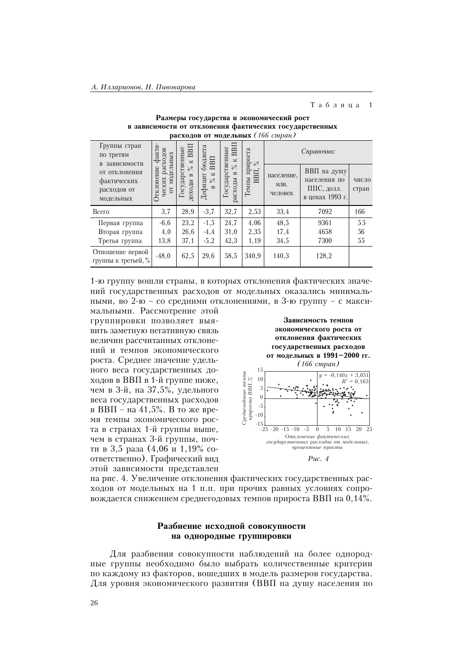#### Таблица  $\overline{1}$

| $\mu$ расходов от модельных (100 странт)                 |                                        |                                                   |                                      |                                                    |                       |                               |                                                              |                |  |  |
|----------------------------------------------------------|----------------------------------------|---------------------------------------------------|--------------------------------------|----------------------------------------------------|-----------------------|-------------------------------|--------------------------------------------------------------|----------------|--|--|
| Группы стран<br>по третям<br>в зависимости               | факти-<br>расходов                     | BBII<br>$\mathbf{K}$                              | бюджета<br>BBII                      | BBI<br>$\approx$                                   | прироста<br>$\gtrsim$ |                               | Справочно:                                                   |                |  |  |
| от отклонения<br>фактических<br>расходов от<br>модельных | модельных<br>тклонение<br>ческих<br>50 | Государственные<br>$\%$<br>$\mathbf{m}$<br>доходы | K<br>Дефицит<br>$\%$<br>$\mathbf{m}$ | Государственные<br>$\%$<br>$\mathbf{m}$<br>расходы | ВВП,<br>Темпы         | население,<br>MЛH.<br>человек | ВВП на душу<br>населения по<br>ППС, долл.<br>в ценах 1993 г. | число<br>стран |  |  |
| <b>B</b> cero                                            | 3,7                                    | 28,9                                              | $-3,7$                               | 32,7                                               | 2,53                  | 33,4                          | 7092                                                         | 166            |  |  |
| Первая группа                                            | $-6,6$                                 | 23,2                                              | $-1,5$                               | 24,7                                               | 4,06                  | 48,5                          | 9361                                                         | 55             |  |  |
| Вторая группа                                            | 4,0                                    | 26,6                                              | $-4,4$                               | 31,0                                               | 2,35                  | 17,4                          | 4658                                                         | 56             |  |  |
| Третья группа                                            | 13,8                                   | 37,1                                              | $-5,2$                               | 42,3                                               | 1,19                  | 34,5                          | 7300                                                         | 55             |  |  |
| Отношение первой<br>группы к третьей, %                  | $-48,0$                                | 62,5                                              | 29,6                                 | 58,5                                               | 340,9                 | 140,3                         | 128,2                                                        |                |  |  |

Размеры государства и экономический рост в зависимости от отклонения фактических государственных расходов от модельных (166 стран)

1-ю группу вошли страны, в которых отклонения фактических значений государственных расходов от модельных оказались минимальными, во 2-ю - со средними отклонениями, в 3-ю группу - с макси-

мальными. Рассмотрение этой группировки позволяет выявить заметную негативную связь величин рассчитанных отклонений и темпов экономического роста. Среднее значение удельного веса государственных доходов в ВВП в 1-й группе ниже, чем в 3-й, на 37,5%, удельного веса государственных расходов в ВВП - на 41,5%. В то же время темпы экономического роста в странах 1-й группы выше, чем в странах 3-й группы, почти в 3,5 раза (4,06 и 1,19% соответственно). Графический вид этой зависимости представлен



Puc.  $4$ 

на рис. 4. Увеличение отклонения фактических государственных расходов от модельных на 1 п.п. при прочих равных условиях сопровождается снижением среднегодовых темпов прироста ВВП на 0,14%.

## Разбиение исходной совокупности на однородные группировки

Для разбиения совокупности наблюдений на более однородные группы необходимо было выбрать количественные критерии по каждому из факторов, вошедших в модель размеров государства. Для уровня экономического развития (ВВП на душу населения по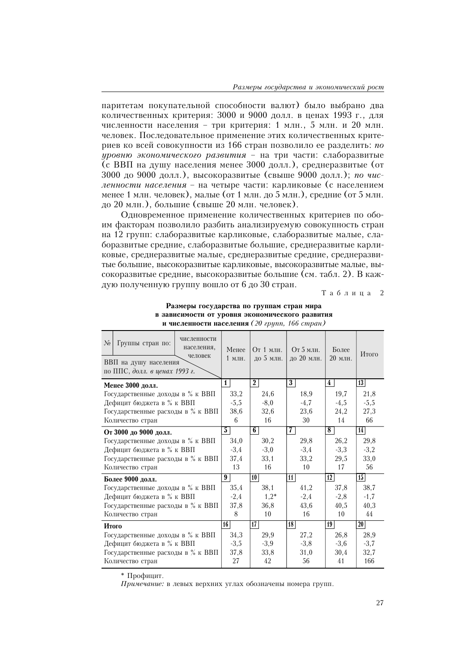паритетам покупательной способности валют) было выбрано лва количественных критерия: 3000 и 9000 долл. в ценах 1993 г., для численности населения - три критерия: 1 млн., 5 млн. и 20 млн. человек. Последовательное применение этих количественных критериев ко всей совокупности из 166 стран позволило ее разделить: по уровню экономического развития - на три части: слаборазвитые (с ВВП на душу населения менее 3000 долл.), среднеразвитые (от 3000 до 9000 долл.), высокоразвитые (свыше 9000 долл.); по численности населения - на четыре части: карликовые (с населением менее 1 млн. человек), малые (от 1 млн. до 5 млн.), средние (от 5 млн. до 20 млн.), большие (свыше 20 млн. человек).

Одновременное применение количественных критериев по обоим факторам позволило разбить анализируемую совокупность стран на 12 групп: слаборазвитые карликовые, слаборазвитые малые, слаборазвитые средние, слаборазвитые большие, среднеразвитые карликовые, среднеразвитые малые, среднеразвитые средние, среднеразвитые большие, высокоразвитые карликовые, высокоразвитые малые, высокоразвитые средние, высокоразвитые большие (см. табл. 2). В каждую полученную группу вошло от 6 до 30 стран.

 $T a 6 \pi u \pi a 2$ 

| численности<br>$N_2$<br>Группы стран по:<br>населения,<br>человек<br>ВВП на душу населения<br>по ППС, долл. в ценах 1993 г. | Менее<br>1 млн. | От 1 млн.<br>до 5 млн. | От 5 млн.<br>до 20 млн. | Более<br>20 млн. | Итого           |
|-----------------------------------------------------------------------------------------------------------------------------|-----------------|------------------------|-------------------------|------------------|-----------------|
| Менее 3000 долл.                                                                                                            | $\mathbf{1}$    | $\overline{2}$         | 3 <sup>1</sup>          | $\frac{1}{4}$    | 13              |
| Государственные доходы в % к ВВП                                                                                            | 33,2            | 24,6                   | 18,9                    | 19,7             | 21,8            |
| Дефицит бюджета в % к ВВП                                                                                                   | $-5,5$          | $-8,0$                 | $-4,7$                  | $-4,5$           | $-5,5$          |
| Государственные расходы в % к ВВП                                                                                           | 38,6            | 32,6                   | 23,6                    | 24,2             | 27,3            |
| Количество стран                                                                                                            | 6               | 16                     | 30                      | 14               | 66              |
| От 3000 до 9000 долл.                                                                                                       | 5               | 6 <sup>1</sup>         | 7                       | 8 <sup>1</sup>   | 14              |
| Государственные доходы в % к ВВП                                                                                            | 34,0            | 30,2                   | 29,8                    | 26,2             | 29,8            |
| Дефицит бюджета в % к ВВП                                                                                                   | $-3,4$          | $-3,0$                 | $-3,4$                  | $-3,3$           | $-3,2$          |
| Государственные расходы в % к ВВП                                                                                           | 37,4            | 33,1                   | 33,2                    | 29,5             | 33,0            |
| Количество стран                                                                                                            | 13              | 16                     | 10                      | 17               | 56              |
| Более 9000 долл.                                                                                                            | 9               | 10 <sup>1</sup>        | 11                      | 12               | 15              |
| Государственные доходы в % к ВВП                                                                                            | 35,4            | 38,1                   | 41.2                    | 37,8             | 38,7            |
| Дефицит бюджета в % к ВВП                                                                                                   | $-2,4$          | $1,2*$                 | $-2,4$                  | $-2,8$           | $-1,7$          |
| Государственные расходы в % к ВВП                                                                                           | 37,8            | 36,8                   | 43,6                    | 40,5             | 40,3            |
| Количество стран                                                                                                            | 8               | 10                     | 16                      | 10               | 44              |
| Итого                                                                                                                       | 16              | 17 <sup>1</sup>        | 18 <sup>2</sup>         | 19               | 20 <sub>1</sub> |
| Государственные доходы в % к ВВП                                                                                            | 34,3            | 29,9                   | 27,2                    | 26,8             | 28,9            |
| Дефицит бюджета в % к ВВП                                                                                                   | $-3,5$          | $-3,9$                 | $-3,8$                  | $-3,6$           | $-3,7$          |
| Государственные расходы в % к ВВП                                                                                           | 37,8            | 33,8                   | 31,0                    | 30,4             | 32,7            |
| Количество стран                                                                                                            | 27              | 42                     | 56                      | 41               | 166             |

#### Размеры государства по группам стран мира в зависимости от уровня экономического развития и численности населения (20 групп, 166 стран)

\* Профицит.

Примечание: в левых верхних углах обозначены номера групп.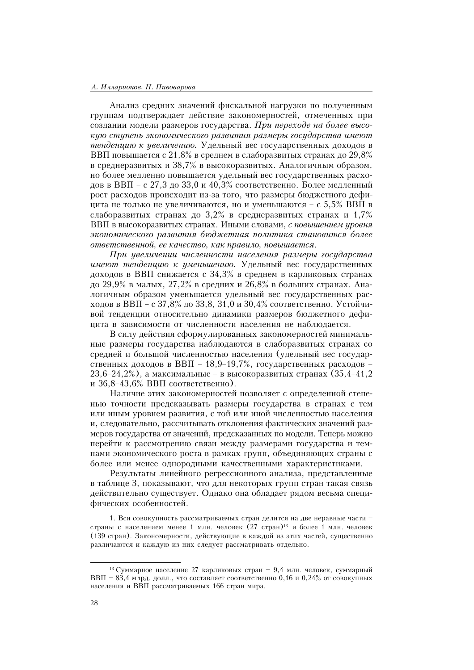#### А. Илларионов, Н. Пивоварова

Анализ средних значений фискальной нагрузки по полученным группам подтверждает действие закономерностей, отмеченных при создании модели размеров государства. При переходе на более высокую ступень экономического развития размеры государства имеют тенденцию к увеличению. Удельный вес государственных доходов в ВВП повышается с 21,8% в среднем в слаборазвитых странах до 29,8% в среднеразвитых и 38,7% в высокоразвитых. Аналогичным образом, но более медленно повышается удельный вес государственных расходов в ВВП – с 27,3 до 33,0 и 40,3% соответственно. Более медленный рост расходов происходит из-за того, что размеры бюджетного дефицита не только не увеличиваются, но и уменьшаются – с 5,5% ВВП в слаборазвитых странах до 3,2% в среднеразвитых странах и 1,7% ВВП в высокоразвитых странах. Иными словами, с повышением уровня экономического развития бюджетная политика становится более ответственной, ее качество, как правило, повышается.

При ивеличении численности населения размеры госидарства имеют тенденцию к уменьшению. Удельный вес государственных доходов в ВВП снижается с 34,3% в среднем в карликовых странах до 29,9% в малых, 27,2% в средних и 26,8% в больших странах. Аналогичным образом уменьшается удельный вес государственных расходов в ВВП – с 37,8% до 33,8, 31,0 и 30,4% соответственно. Устойчивой тенденции относительно динамики размеров бюджетного дефицита в зависимости от численности населения не наблюдается.

В силу действия сформулированных закономерностей минимальные размеры государства наблюдаются в слаборазвитых странах со средней и большой численностью населения (удельный вес государственных доходов в ВВП - 18,9-19,7%, государственных расходов - $23,6-24,2\%$ ), а максимальные – в высокоразвитых странах (35,4-41,2) и  $36,8-43,6\%$  ВВП соответственно).

Наличие этих закономерностей позволяет с определенной степенью точности предсказывать размеры государства в странах с тем или иным уровнем развития, с той или иной численностью населения и, следовательно, рассчитывать отклонения фактических значений размеров государства от значений, предсказанных по модели. Теперь можно перейти к рассмотрению связи между размерами государства и темпами экономического роста в рамках групп, объединяющих страны с более или менее однородными качественными характеристиками.

Результаты линейного регрессионного анализа, представленные в таблице 3, показывают, что для некоторых групп стран такая связь действительно существует. Однако она обладает рядом весьма специфических особенностей.

1. Вся совокупность рассматриваемых стран делится на две неравные части страны с населением менее 1 млн. человек (27 стран)<sup>13</sup> и более 1 млн. человек (139 стран). Закономерности, действующие в каждой из этих частей, существенно различаются и каждую из них следует рассматривать отдельно.

<sup>&</sup>lt;sup>13</sup> Суммарное население 27 карликовых стран - 9,4 млн. человек, суммарный ВВП - 83,4 млрд. долл., что составляет соответственно 0,16 и 0,24% от совокупных населения и ВВП рассматриваемых 166 стран мира.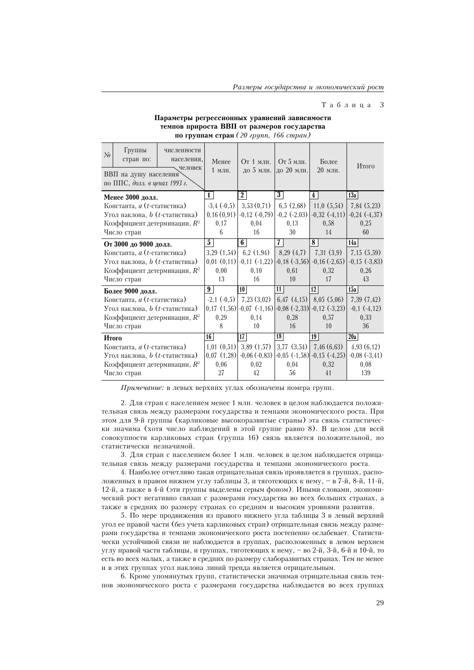#### Таблица 3

### Параметры регрессионных уравнений зависимости темпов прироста ВВП от размеров государства по группам стран $(20$  групп, 166 стран)

| $\mathcal{N}_2$ | Группы<br>стран по:<br>ВВП на душу населения | численности<br>населения,<br>человек |                | Менее<br>1 млн. |                |                                   |                 | От 1 млн.   От 5 млн.<br>до 5 млн. до 20 млн.                         |                 | Более<br>20 млн.  |     | Итого             |
|-----------------|----------------------------------------------|--------------------------------------|----------------|-----------------|----------------|-----------------------------------|-----------------|-----------------------------------------------------------------------|-----------------|-------------------|-----|-------------------|
|                 | по ППС, долл. в ценах 1993 г.                |                                      |                |                 |                |                                   |                 |                                                                       |                 |                   |     |                   |
|                 | Менее 3000 долл.                             |                                      | $\mathbf{1}$   |                 | $\overline{2}$ |                                   | $\overline{3}$  |                                                                       | $\frac{1}{4}$   |                   | 13a |                   |
|                 | Константа, <i>а</i> ( <i>t</i> -статистика)  |                                      |                | $-3,4(-0,5)$    |                | 3,53(0,71)                        |                 | 6,5(2,68)                                                             |                 | 11,0(5,54)        |     | 7,84(5,23)        |
|                 | Угол наклона, $b$ ( $t$ -статистика)         |                                      |                | 0,16(0,91)      |                | $-0,12$ $(-0,79)$                 |                 | $-0.2$ $(-2.03)$                                                      |                 | $-0,32$ $(-4,11)$ |     | $-0,24$ $(-4,37)$ |
|                 | Коэффициент детерминации, R <sup>2</sup>     |                                      |                | 0.17            |                | 0.04                              |                 | 0.13                                                                  |                 | 0.58              |     | 0.25              |
|                 | Число стран                                  |                                      |                | 6               |                | 16                                |                 | 30                                                                    |                 | 14                |     | 60                |
|                 | От 3000 до 9000 долл.                        |                                      | 5 <sup>1</sup> |                 | 6 <sup>1</sup> |                                   | 7 <sup>1</sup>  |                                                                       | 8 <sup>1</sup>  |                   | 14a |                   |
|                 | Константа, <i>а</i> ( <i>t</i> -статистика)  |                                      |                | 3,29(1,54)      |                | 6,2(1,94)                         |                 | 8,29(4,7)                                                             |                 | 7,31(3,9)         |     | 7,15(5,59)        |
|                 | Угол наклона, $b$ ( $t$ -статистика)         |                                      |                |                 |                | $0,01$ $(0,11)$ $-0,11$ $(-1,22)$ |                 | $-0,18$ $(-3,56)$                                                     |                 | $-0,16(-2,65)$    |     | $-0,15$ $(-3,83)$ |
|                 | Коэффициент детерминации, $R^2$              |                                      | 0,00           |                 | 0, 10          |                                   | 0,61            |                                                                       | 0.32            |                   |     | 0,26              |
|                 | Число стран                                  |                                      |                | 13              |                | 16                                |                 | 10                                                                    |                 | 17                |     | 43                |
|                 | Более 9000 долл.                             |                                      | 9              |                 | 10             |                                   | 11 <sup>1</sup> |                                                                       | 12              |                   | 15a |                   |
|                 | Константа, <i>a</i> ( <i>t</i> -статистика)  |                                      |                | $-2,1(-0,5)$    |                | 7,23(3,02)                        |                 | 6,47 $(4,15)$ 8,05 $(5,06)$                                           |                 |                   |     | 7,39(7,42)        |
|                 | Угол наклона, $b$ ( $t$ -статистика)         |                                      |                |                 |                |                                   |                 | $0,17$ $(1,56)$ $-0,07$ $(-1,16)$ $-0,08$ $(-2,33)$ $-0,12$ $(-3,23)$ |                 |                   |     | $-0,1(-4,12)$     |
|                 | Коэффициент детерминации, $R^2$              |                                      |                | 0,29            |                | 0,14                              |                 | 0,28                                                                  |                 | 0,57              |     | 0,33              |
|                 | Число стран                                  |                                      |                | 8               |                | 10                                |                 | 16                                                                    |                 | 10                |     | 36                |
| Итого           |                                              |                                      | 16             |                 | 17             |                                   | 18              |                                                                       | 19 <sup>1</sup> |                   | 20a |                   |
|                 | Константа, <i>а</i> ( <i>t</i> -статистика)  |                                      |                | $1,01$ $(0,51)$ |                | 3,89(1,57)                        |                 | $3,77$ $(3,54)$                                                       |                 | 7,46(6,63)        |     | 4,93(6,12)        |
|                 | Угол наклона, $b$ ( $t$ -статистика)         |                                      |                | 0,07(1,28)      |                | $-0,06(-0,83)$                    |                 | $-0.05$ $(-1.58)$                                                     |                 | $-0,15$ $(-4,25)$ |     | $-0,08$ $(-3,41)$ |
|                 | Коэффициент детерминации, R <sup>2</sup>     |                                      |                | 0,06            |                | 0,02                              |                 | 0,04                                                                  |                 | 0.32              |     | 0,08              |
|                 | Число стран                                  |                                      |                | 27              |                | 42                                |                 | 56                                                                    |                 | 41                |     | 139               |

 $\Pi$ римечание: в левых верхних углах обозначены номера групп.

2. Для стран с населением менее 1 млн. человек в целом наблюдается положительная связь между размерами государства и темпами экономического роста. При этом для 9-й группы (карликовые высокоразвитые страны) эта связь статистически значима (хотя число наблюдений в этой группе равно 8). В целом для всей совокупности карликовых стран (группа 16) связь является положительной, но статистически незначимой.

3. Для стран с населением более 1 млн. человек в целом наблюдается отрицательная связь между размерами государства и темпами экономического роста.

4. Наиболее отчетливо такая отрицательная связь проявляется в группах, расположенных в правом нижнем углу таблицы 3, и тяготеющих к нему, - в 7-й, 8-й, 11-й, 12-й, а также в 4-й (эти группы выделены серым фоном). Иными словами, экономический рост негативно связан с размерами государства во всех больших странах, а также в средних по размеру странах со средним и высоким уровнями развития.

5. По мере продвижения из правого нижнего угла таблицы 3 в левый верхний угол ее правой части (без учета карликовых стран) отрицательная связь между размерами государства и темпами экономического роста постепенно ослабевает. Статистически устойчивой связи не наблюдается в группах, расположенных в левом верхнем углу правой части таблицы, и группах, тяготеющих к нему, - во 2-й, 3-й, 6-й и 10-й, то есть во всех малых, а также в средних по размеру слаборазвитых странах. Тем не менее и в этих группах угол наклона линий тренда является отрицательным.

6. Кроме упомянутых групп, статистически значимая отрицательная связь темпов экономического роста с размерами государства наблюдается во всех группах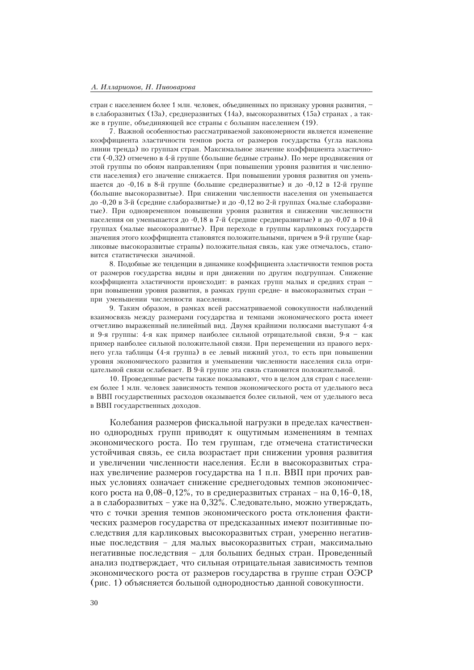стран с населением более 1 млн. человек, объединенных по признаку уровня развития, в слаборазвитых (13а), среднеразвитых (14а), высокоразвитых (15а) странах, а также в группе, объединяющей все страны с большим населением (19).

7. Важной особенностью рассматриваемой закономерности является изменение коэффициента эластичности темпов роста от размеров государства (угла наклона линии тренда) по группам стран. Максимальное значение коэффициента эластичности (-0,32) отмечено в 4-й группе (большие бедные страны). По мере продвижения от этой группы по обоим направлениям (при повышении уровня развития и численности населения) его значение снижается. При повышении уровня развития он уменьшается до  $-0.16$  в 8-й группе (большие среднеразвитые) и до  $-0.12$  в 12-й группе (большие высокоразвитые). При снижении численности населения он уменьшается до -0,20 в 3-й (средние слаборазвитые) и до -0,12 во 2-й группах (малые слаборазвитые). При одновременном повышении уровня развития и снижении численности населения он уменьшается до -0,18 в 7-й (средние среднеразвитые) и до -0,07 в 10-й группах (малые высокоразвитые). При переходе в группы карликовых государств значения этого коэффициента становятся положительными, причем в 9-й группе (карликовые высокоразвитые страны) положительная связь, как уже отмечалось, становится статистически значимой.

8. Подобные же тенденции в динамике коэффициента эластичности темпов роста от размеров государства видны и при движении по другим подгруппам. Снижение коэффициента эластичности происхолит: в рамках групп малых и средних стран при повышении уровня развития, в рамках групп средне- и высокоразвитых стран при уменьшении численности населения.

9. Таким образом, в рамках всей рассматриваемой совокупности наблюдений взаимосвязь между размерами государства и темпами экономического роста имеет отчетливо выраженный нелинейный вид. Двумя крайними полюсами выступают 4-я и 9-я группы: 4-я как пример наиболее сильной отрицательной связи, 9-я - как пример наиболее сильной положительной связи. При перемещении из правого верхнего угла таблицы (4-я группа) в ее левый нижний угол, то есть при повышении уровня экономического развития и уменьшении численности населения сила отрицательной связи ослабевает. В 9-й группе эта связь становится положительной.

10. Проведенные расчеты также показывают, что в целом для стран с населением более 1 млн. человек зависимость темпов экономического роста от удельного веса в ВВП государственных расходов оказывается более сильной, чем от удельного веса в ВВП государственных доходов.

Колебания размеров фискальной нагрузки в пределах качественно однородных групп приводят к ощутимым изменениям в темпах экономического роста. По тем группам, где отмечена статистически устойчивая связь, ее сила возрастает при снижении уровня развития и увеличении численности населения. Если в высокоразвитых странах увеличение размеров государства на 1 п.п. ВВП при прочих равных условиях означает снижение среднегодовых темпов экономического роста на 0,08-0,12%, то в среднеразвитых странах – на 0,16-0,18, а в слаборазвитых – уже на 0,32%. Следовательно, можно утверждать, что с точки зрения темпов экономического роста отклонения фактических размеров государства от предсказанных имеют позитивные последствия для карликовых высокоразвитых стран, умеренно негативные последствия - для малых высокоразвитых стран, максимально негативные последствия - для больших бедных стран. Проведенный анализ подтверждает, что сильная отрицательная зависимость темпов экономического роста от размеров государства в группе стран ОЭСР (рис. 1) объясняется большой однородностью данной совокупности.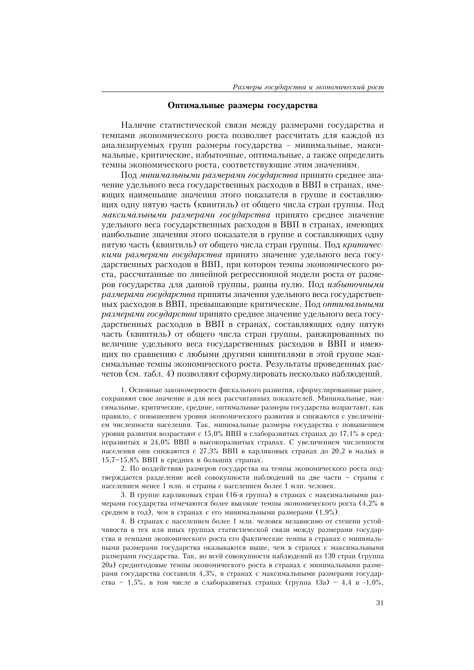## Оптимальные размеры государства

Наличие статистической связи между размерами государства и темпами экономического роста позволяет рассчитать для каждой из анализируемых групп размеры государства - минимальные, максимальные, критические, избыточные, оптимальные, а также определить темпы экономического роста, соответствующие этим значениям.

Под минимальными размерами государства принято среднее значение удельного веса государственных расходов в ВВП в странах, имеющих наименьшие значения этого показателя в группе и составляющих одну пятую часть (квинтиль) от общего числа стран группы. Под максимальными размерами государства принято среднее значение удельного веса государственных расходов в ВВП в странах, имеющих наибольшие значения этого показателя в группе и составляющих одну пятую часть (квинтиль) от общего числа стран группы. Под критическими размерами государства принято значение удельного веса государственных расходов в ВВП, при котором темпы экономического роста, рассчитанные по линейной регрессионной модели роста от размеров государства для данной группы, равны нулю. Под избыточными размерами госидарства приняты значения удельного веса государственных расходов в ВВП, превышающие критические. Под оптимальными размерами государства принято среднее значение удельного веса государственных расходов в ВВП в странах, составляющих одну пятую часть (квинтиль) от общего числа стран группы, ранжированных по величине удельного веса государственных расходов в ВВП и имеющих по сравнению с любыми другими квинтилями в этой группе максимальные темпы экономического роста. Результаты проведенных расчетов (см. табл. 4) позволяют сформулировать несколько наблюдений.

1. Основные закономерности фискального развития, сформулированные ранее, сохраняют свое значение и для всех рассчитанных показателей. Минимальные, максимальные, критические, средние, оптимальные размеры государства возрастают, как правило, с повышением уровня экономического развития и снижаются с увеличением численности населения. Так, минимальные размеры государства с повышением уровня развития возрастают с 15,0% ВВП в слаборазвитых странах до 17,1% в среднеразвитых и 24,0% ВВП в высокоразвитых странах. С увеличением численности населения они снижаются с 27,3% ВВП в карликовых странах до 20,2 в малых и 15,7-15,8% ВВП в средних и больших странах.

2. По воздействию размеров государства на темпы экономического роста подтверждается разделение всей совокупности наблюдений на две части - страны с населением менее 1 млн. и страны с населением более 1 млн. человек.

3. В группе карликовых стран (16-я группа) в странах с максимальными размерами государства отмечаются более высокие темпы экономического роста (4,2% в среднем в год), чем в странах с его минимальными размерами  $(1,9\%)$ .

4. В странах с населением более 1 млн. человек независимо от степени устойчивости в тех или иных группах статистической связи между размерами государства и темпами экономического роста его фактические темпы в странах с минимальными размерами государства оказываются выше, чем в странах с максимальными размерами государства. Так, во всей совокупности наблюдений из 139 стран (группа 20a) среднегодовые темпы экономического роста в странах с минимальными размерами государства составили 4,3%, в странах с максимальными размерами государства - 1,5%, в том числе в слаборазвитых странах (группа 13a) - 4,4 и -1,0%,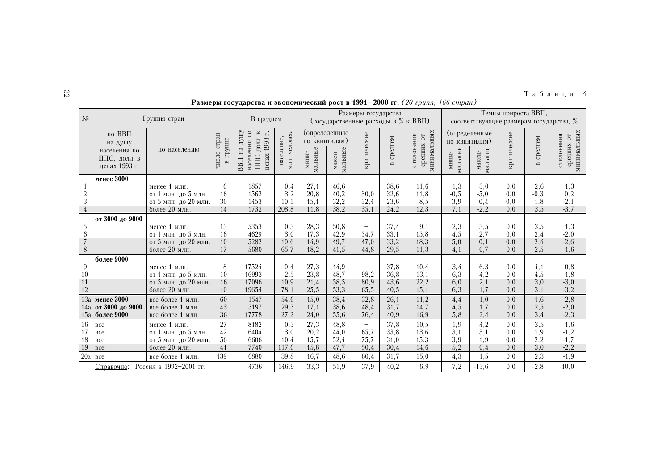| $\widetilde{\phantom{a}}$ | Таблица 4                                                                                                       |
|---------------------------|-----------------------------------------------------------------------------------------------------------------|
|                           | the contract of the contract of the contract of the contract of the contract of the contract of the contract of |

| $\mathcal{N}_2$  |                                                                    | Группы стран                                |                            | В среднем                                                                                                   |                            |                                                    | (государственные расходы в % к ВВП) | Размеры государства      |                         |                                         | Темпы прироста ВВП,<br>соответствующие размерам государства, % |                                    |             |                         |                                         |
|------------------|--------------------------------------------------------------------|---------------------------------------------|----------------------------|-------------------------------------------------------------------------------------------------------------|----------------------------|----------------------------------------------------|-------------------------------------|--------------------------|-------------------------|-----------------------------------------|----------------------------------------------------------------|------------------------------------|-------------|-------------------------|-----------------------------------------|
|                  | по ВВП<br>на душу<br>населения по<br>ППС, долл. в<br>ненах 1993 г. | по населению                                | стран<br>в группе<br>число | ДHЛ<br>населения по<br>, долл. в<br>$\overline{\phantom{a}}$<br>1993<br>ВВП на<br>ценах<br>ППC <sub>.</sub> | млн. человек<br>население, | (определенные<br>по квинтилям)<br>мальные<br>мини- | мальные<br>макси-                   | критические              | среднем<br>$\mathbf{m}$ | минимальных<br>отклонение<br>средних от | по квинтилям)<br>мальные<br>МИНИ-                              | (определенные<br>мальные<br>макси- | критические | среднем<br>$\mathbf{m}$ | минимальных<br>отклонения<br>средних от |
|                  | менее 3000                                                         | менее 1 млн.                                | 6                          | 1857                                                                                                        | 0,4                        | 27,1                                               | 46,6                                | $\qquad \qquad -$        | 38,6                    | 11,6                                    | 1,3                                                            | 3,0                                | 0,0         | 2,6                     | 1,3                                     |
|                  |                                                                    | от 1 млн. до 5 млн.                         | 16                         | 1562                                                                                                        | 3,2                        | 20,8                                               | 40,2                                | 30,0                     | 32,6                    | 11.8                                    | $-0,5$                                                         | $-5,0$                             | 0,0         | $-0,3$                  | 0,2                                     |
| $\frac{2}{3}$    |                                                                    | от 5 млн. до 20 млн.                        | 30                         | 1453                                                                                                        | 10,1                       | 15,1                                               | 32,2                                | 32,4                     | 23,6                    | 8,5                                     | 3,9                                                            | 0,4                                | 0,0         | 1,8                     | $-2,1$                                  |
| $\overline{4}$   |                                                                    | более 20 млн.                               | 14                         | 1732                                                                                                        | 208,8                      | 11,8                                               | 38,2                                | 35,1                     | 24,2                    | 12,3                                    | 7,1                                                            | $-2,2$                             | 0,0         | 3,5                     | $-3,7$                                  |
|                  | от 3000 до 9000                                                    |                                             |                            |                                                                                                             |                            |                                                    |                                     |                          |                         |                                         |                                                                |                                    |             |                         |                                         |
| $\sqrt{5}$       |                                                                    | менее 1 млн.                                | 13                         | 5353                                                                                                        | 0,3                        | 28,3                                               | 50,8                                | $\overline{\phantom{a}}$ | 37,4                    | 9,1                                     | 2,3                                                            | 3,5                                | 0,0         | 3,5                     | 1,3                                     |
| $6\,$            |                                                                    | от 1 млн. до 5 млн.                         | 16                         | 4629                                                                                                        | 3,0                        | 17,3                                               | 42,9                                | 54,7                     | 33,1                    | 15.8                                    | 4,5                                                            | 2,7                                | 0,0         | 2,4                     | $-2,0$                                  |
| $\overline{7}$   |                                                                    | от 5 млн. до 20 млн.                        | 10                         | 5282                                                                                                        | 10,6                       | 14,9                                               | 49,7                                | 47,0                     | 33,2                    | 18,3                                    | 5,0                                                            | 0,1                                | 0,0         | 2,4                     | $-2,6$                                  |
| $\,8\,$          |                                                                    | более 20 млн.                               | 17                         | 5680                                                                                                        | 65,7                       | 18,2                                               | 41,5                                | 44,8                     | 29,5                    | 11,3                                    | 4,1                                                            | $-0,7$                             | 0,0         | 2,5                     | $-1,6$                                  |
|                  | более 9000                                                         |                                             |                            |                                                                                                             |                            |                                                    |                                     |                          |                         |                                         |                                                                |                                    |             |                         |                                         |
| 9                |                                                                    | менее 1 млн.                                | 8                          | 17524                                                                                                       | 0,4                        | 27,3                                               | 44.9                                | $\overline{\phantom{0}}$ | 37,8                    | 10,4                                    | 3,4                                                            | 6,3                                | 0,0         | 4,1                     | 0,8                                     |
| 10               |                                                                    | от 1 млн. до 5 млн.                         | 10                         | 16993                                                                                                       | 2,5                        | 23,8                                               | 48,7                                | 98,2                     | 36,8                    | 13,1                                    | 6,3                                                            | 4,2                                | 0,0         | 4,5                     | $-1, 8$                                 |
| 11               |                                                                    | от 5 млн. до 20 млн.                        | 16<br>10                   | 17096                                                                                                       | 10,9                       | 21,4                                               | 58,5                                | 80,9                     | 43,6                    | 22,2                                    | 6,0<br>6,3                                                     | 2,1<br>1.7                         | 0,0         | 3,0<br>3,1              | $-3,0$<br>$-3,2$                        |
| 12               |                                                                    | более 20 млн.                               |                            | 19654                                                                                                       | 78,1                       | 25,5                                               | 53,3                                | 65,5                     | 40,5                    | 15,1                                    |                                                                |                                    | 0,0         |                         |                                         |
| 13a              | менее 3000                                                         | все более 1 млн.                            | 60<br>43                   | 1547                                                                                                        | 54,6                       | 15,0                                               | 38,4                                | 32,8                     | 26,1                    | 11.2                                    | 4,4                                                            | $-1,0$                             | 0,0         | 1,6                     | $-2,8$                                  |
| 14a<br>15a       | от 3000 до 9000<br>более 9000                                      | все более 1 млн.<br>все более 1 млн.        | 36                         | 5197<br>17778                                                                                               | 29,5<br>27,2               | 17,1<br>24,0                                       | 38,6<br>55,6                        | 48,4<br>76,4             | 31,7<br>40,9            | 14,7<br>16,9                            | 4,5<br>5,8                                                     | 1,7<br>2,4                         | 0,0<br>0,0  | 2,5<br>3,4              | $-2,0$<br>$-2,3$                        |
|                  |                                                                    |                                             |                            |                                                                                                             |                            |                                                    |                                     |                          |                         |                                         |                                                                |                                    |             |                         |                                         |
| 16               | все                                                                | менее 1 млн.                                | 27                         | 8182                                                                                                        | 0,3                        | 27,3                                               | 48,8                                | $\overline{\phantom{m}}$ | 37,8                    | 10.5                                    | 1,9                                                            | 4,2                                | 0,0         | 3,5                     | 1,6                                     |
| 17<br>18         | все<br>все                                                         | от 1 млн. до 5 млн.<br>от 5 млн. до 20 млн. | 42<br>56                   | 6404<br>6606                                                                                                | 3,0<br>10,4                | 20,2<br>15,7                                       | 44,0<br>52,4                        | 65,7<br>75,7             | 33,8<br>31,0            | 13,6<br>15,3                            | 3,1<br>3,9                                                     | 3,1<br>1,9                         | 0,0<br>0.0  | 1,9<br>2,2              | $-1,2$<br>$-1,7$                        |
|                  | <b>BCC</b>                                                         | более 20 млн.                               | 41                         | 7740                                                                                                        | 117,6                      | 15,8                                               | 47,7                                | 50,4                     | 30,4                    | 14,6                                    | 5,2                                                            | 0,4                                | 0,0         | 3,0                     | $-2,2$                                  |
| $\frac{19}{20a}$ | вcе                                                                | все более 1 млн.                            | 139                        | 6880                                                                                                        | 39,8                       | 16,7                                               | 48,6                                | 60,4                     | 31,7                    | 15,0                                    | 4,3                                                            | 1,5                                | 0,0         | 2,3                     | $-1,9$                                  |
|                  |                                                                    |                                             |                            |                                                                                                             |                            |                                                    |                                     |                          |                         |                                         |                                                                |                                    |             |                         |                                         |
|                  | Справочно:                                                         | Россия в 1992-2001 гг.                      |                            | 4736                                                                                                        | 146,9                      | 33,3                                               | 51,9                                | 37,9                     | 40,2                    | 6,9                                     | 7,2                                                            | $-13,6$                            | 0,0         | $-2, 8$                 | $-10,0$                                 |

## Размеры государства и экономический рост в 1991-2000 гг. (20 групп, 166 стран)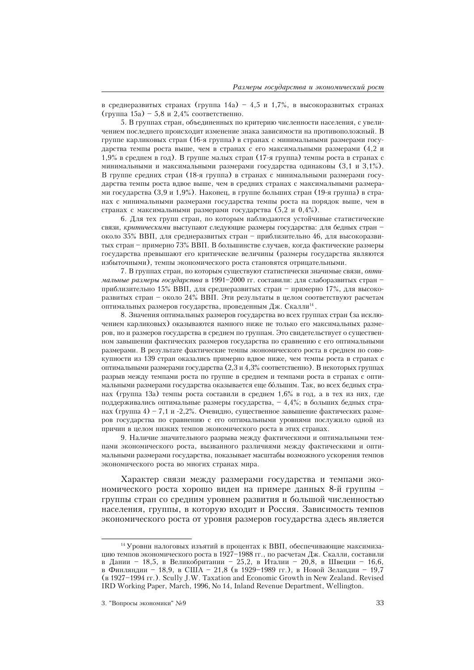в среднеразвитых странах (группа 14a) – 4,5 и 1,7%, в высокоразвитых странах (группа 15а) – 5,8 и 2,4% соответственно.

5. В группах стран, объединенных по критерию численности населения, с увеличением последнего происходит изменение знака зависимости на противоположный. В группе карликовых стран (16-я группа) в странах с минимальными размерами государства темпы роста выше, чем в странах с его максимальными размерами  $(4,2)$ и 1,9% в среднем в год). В группе малых стран (17-я группа) темпы роста в странах с минимальными и максимальными размерами государства одинаковы  $(3, 1 \times 3, 1\%)$ . В группе средних стран (18-я группа) в странах с минимальными размерами государства темпы роста вдвое выше, чем в средних странах с максимальными размерами государства (3,9 и 1,9%). Наконец, в группе больших стран (19-я группа) в странах с минимальными размерами государства темпы роста на порядок выше, чем в странах с максимальными размерами государства (5,2 и 0,4%).

6. Для тех групп стран, по которым наблюдаются устойчивые статистические связи, критическими выступают следующие размеры государства: для бедных стран около 35% ВВП, для среднеразвитых стран - приблизительно 46, для высокоразвитых стран - примерно 73% ВВП. В большинстве случаев, когда фактические размеры государства превышают его критические величины (размеры государства являются избыточными), темпы экономического роста становятся отрицательными.

7. В группах стран, по которым существуют статистически значимые связи, оптимальные размеры государства в 1991-2000 гг. составили: для слаборазвитых странприблизительно 15% ВВП, для среднеразвитых стран - примерно 17%, для высокоразвитых стран - около 24% ВВП. Эти результаты в целом соответствуют расчетам оптимальных размеров государства, проведенным Дж. Скалли<sup>14</sup>.

8. Значения оптимальных размеров государства во всех группах стран (за исключением карликовых) оказываются намного ниже не только его максимальных размеров, но и размеров государства в среднем по группам. Это свидетельствует о существенном завышении фактических размеров государства по сравнению с его оптимальными размерами. В результате фактические темпы экономического роста в среднем по совокупности из 139 стран оказались примерно вдвое ниже, чем темпы роста в странах с оптимальными размерами государства  $(2,3 \text{ u } 4,3\%)$  соответственно). В некоторых группах разрыв между темпами роста по группе в среднем и темпами роста в странах с оптимальными размерами государства оказывается еще бо́льшим. Так, во всех бедных странах (группа 13а) темпы роста составили в среднем 1,6% в год, а в тех из них, где поддерживались оптимальные размеры государства,  $-4.4\%$ ; в больших бедных странах (группа 4) – 7,1 и -2,2%. Очевидно, существенное завышение фактических размеров государства по сравнению с его оптимальными уровнями послужило одной из причин в целом низких темпов экономического роста в этих странах.

9. Наличие значительного разрыва между фактическими и оптимальными темпами экономического роста, вызванного различиями между фактическими и оптимальными размерами государства, показывает масштабы возможного ускорения темпов экономического роста во многих странах мира.

Характер связи между размерами государства и темпами экономического роста хорошо виден на примере данных 8-й группы группы стран со средним уровнем развития и большой численностью населения, группы, в которую входит и Россия. Зависимость темпов экономического роста от уровня размеров государства здесь является

<sup>&</sup>lt;sup>14</sup> Уровни налоговых изъятий в процентах к ВВП, обеспечивающие максимизацию темпов экономического роста в 1927–1988 гг., по расчетам Дж. Скалли, составили в Дании – 18,5, в Великобритании – 25,2, в Италии – 20,8, в Швеции – 16,6, в Финляндии - 18,9, в США - 21,8 (в 1929-1989 гг.), в Новой Зеландии - 19,7 ( $a$  1927-1994 rr.). Scully J.W. Taxation and Economic Growth in New Zealand. Revised IRD Working Paper, March, 1996, No 14, Inland Revenue Department, Wellington.

<sup>3. &</sup>quot;Вопросы экономики" №9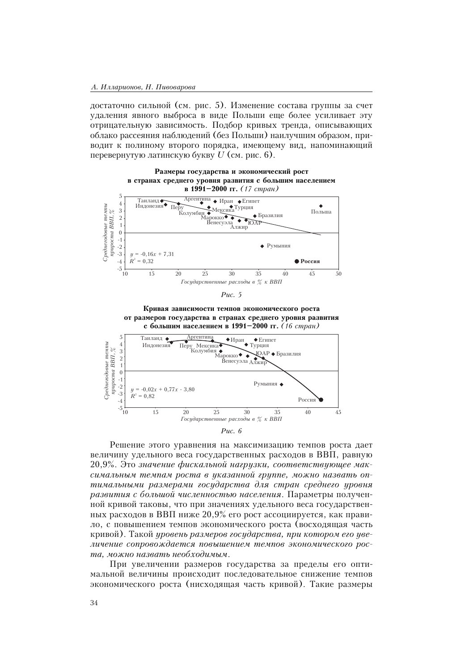лостаточно сильной (см. рис. 5). Изменение состава группы за счет удаления явного выброса в виде Польши еще более усиливает эту отрицательную зависимость. Подбор кривых тренда, описывающих облако рассеяния наблюдений (без Польши) наилучшим образом, приводит к полиному второго порядка, имеющему вид, напоминающий перевернутую латинскую букву  $U$  (см. рис. 6).



Puc.  $5$ 

Кривая зависимости темпов экономического роста от размеров государства в странах среднего уровня развития с большим населением в 1991-2000 гг. (16 стран)





Решение этого уравнения на максимизацию темпов роста дает величину удельного веса государственных расходов в ВВП, равную 20,9%. Это значение фискальной нагрузки, соответствующее максимальным темпам роста в указанной группе, можно назвать оптимальными размерами государства для стран среднего уровня развития с большой численностью населения. Параметры полученной кривой таковы, что при значениях удельного веса государственных расходов в ВВП ниже  $20.9\%$  его рост ассоциируется, как правило, с повышением темпов экономического роста (восходящая часть кривой). Такой уровень размеров государства, при котором его увеличение сопровождается повышением темпов экономического роста, можно назвать необходимым.

При увеличении размеров государства за пределы его оптимальной величины происходит последовательное снижение темпов экономического роста (нисходящая часть кривой). Такие размеры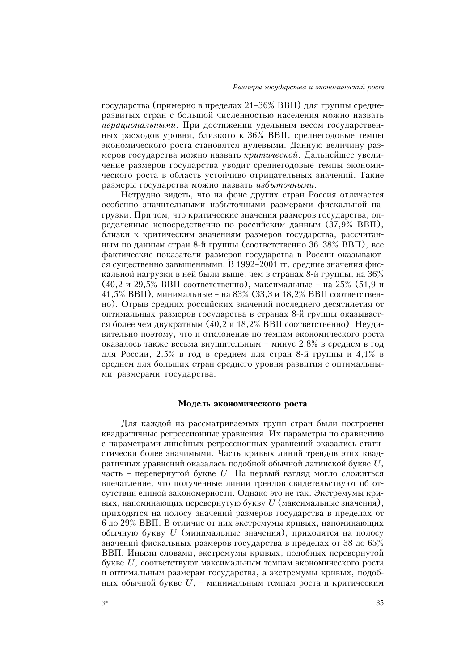государства (примерно в пределах 21-36% ВВП) для группы среднеразвитых стран с большой численностью населения можно назвать нерашиональными. При достижении удельным весом государственных расходов уровня, близкого к 36% ВВП, среднегодовые темпы экономического роста становятся нулевыми. Данную величину размеров государства можно назвать критической. Дальнейшее увеличение размеров государства уводит среднегодовые темпы экономического роста в область устойчиво отрицательных значений. Такие размеры государства можно назвать избыточными.

Нетрудно видеть, что на фоне других стран Россия отличается особенно значительными избыточными размерами фискальной нагрузки. При том, что критические значения размеров государства, определенные непосредственно по российским данным  $(37,9% \text{ BBII})$ , близки к критическим значениям размеров государства, рассчитанным по данным стран 8-й группы (соответственно  $36-38\%$  BBII), все фактические показатели размеров государства в России оказываются существенно завышенными. В 1992-2001 гг. средние значения фискальной нагрузки в ней были выше, чем в странах 8-й группы, на  $36\%$ (40,2 и 29,5% ВВП соответственно), максимальные - на 25% (51,9 и 41,5% ВВП), минимальные - на 83% (33,3 и 18,2% ВВП соответственно). Отрыв средних российских значений последнего десятилетия от оптимальных размеров государства в странах 8-й группы оказывается более чем двукратным (40,2 и 18,2% ВВП соответственно). Неудивительно поэтому, что и отклонение по темпам экономического роста оказалось также весьма внушительным - минус 2,8% в среднем в год для России, 2,5% в год в среднем для стран 8-й группы и 4,1% в среднем для больших стран среднего уровня развития с оптимальными размерами государства.

## Модель экономического роста

Для каждой из рассматриваемых групп стран были построены квадратичные регрессионные уравнения. Их параметры по сравнению с параметрами линейных регрессионных уравнений оказались статистически более значимыми. Часть кривых линий трендов этих квадратичных уравнений оказалась подобной обычной латинской букве  $U$ , часть - перевернутой букве U. На первый взгляд могло сложиться впечатление, что полученные линии трендов свидетельствуют об отсутствии единой закономерности. Однако это не так. Экстремумы кривых, напоминающих перевернутую букву  $U$  (максимальные значения), приходятся на полосу значений размеров государства в пределах от 6 до 29% ВВП. В отличие от них экстремумы кривых, напоминающих обычную букву  $U$  (минимальные значения), приходятся на полосу значений фискальных размеров государства в пределах от 38 до 65% ВВП. Иными словами, экстремумы кривых, подобных перевернутой букве  $U$ , соответствуют максимальным темпам экономического роста и оптимальным размерам государства, а экстремумы кривых, подобных обычной букве  $U$ , - минимальным темпам роста и критическим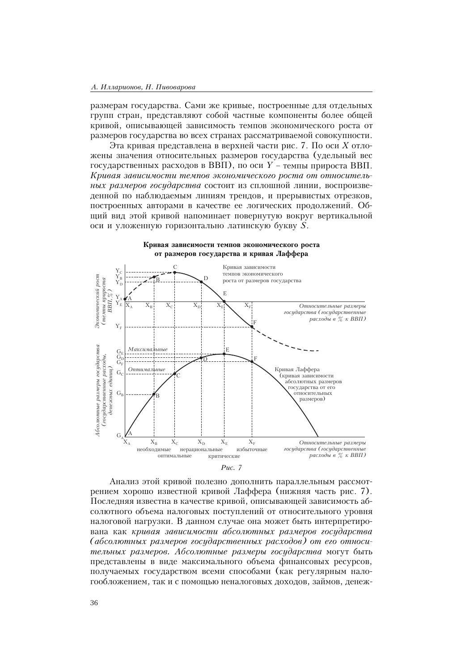размерам государства. Сами же кривые, построенные для отдельных групп стран, представляют собой частные компоненты более общей кривой, описывающей зависимость темпов экономического роста от размеров государства во всех странах рассматриваемой совокупности.

Эта кривая представлена в верхней части рис. 7. По оси Х отложены значения относительных размеров государства (удельный вес государственных расходов в ВВП), по оси  $Y$  – темпы прироста ВВП. Кривая зависимости темпов экономического роста от относительных размеров государства состоит из сплошной линии, воспроизведенной по наблюдаемым линиям трендов, и прерывистых отрезков, построенных авторами в качестве ее логических продолжений. Общий вид этой кривой напоминает повернутую вокруг вертикальной оси и уложенную горизонтально латинскую букву  $S$ .

Кривая зависимости темпов экономического роста





Анализ этой кривой полезно дополнить параллельным рассмотрением хорошо известной кривой Лаффера (нижняя часть рис. 7). Последняя известна в качестве кривой, описывающей зависимость абсолютного объема налоговых поступлений от относительного уровня налоговой нагрузки. В данном случае она может быть интерпретирована как кривая зависимости абсолютных размеров государства (абсолютных размеров государственных расходов) от его относительных размеров. Абсолютные размеры государства могут быть представлены в виде максимального объема финансовых ресурсов, получаемых государством всеми способами (как регулярным налогообложением, так и с помощью неналоговых доходов, займов, денеж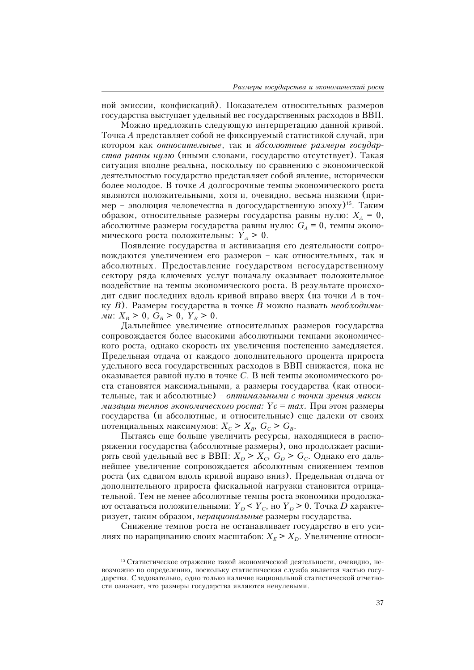ной эмиссии, конфискаций). Показателем относительных размеров государства выступает удельный вес государственных расходов в ВВП.

Можно предложить следующую интерпретацию данной кривой. Точка А представляет собой не фиксируемый статистикой случай, при котором как относительные, так и абсолютные размеры государства равны нулю (иными словами, государство отсутствует). Такая ситуация вполне реальна, поскольку по сравнению с экономической деятельностью государство представляет собой явление, исторически более молодое. В точке  $A$  долгосрочные темпы экономического роста являются положительными, хотя и, очевидно, весьма низкими (пример - эволюция человечества в догосударственную эпоху)<sup>15</sup>. Таким образом, относительные размеры государства равны нулю:  $X_A = 0$ , абсолютные размеры государства равны нулю:  $G_A = 0$ , темпы экономического роста положительны:  $Y_A > 0$ .

Появление государства и активизация его деятельности сопровождаются увеличением его размеров - как относительных, так и абсолютных. Предоставление государством негосударственному сектору ряда ключевых услуг поначалу оказывает положительное воздействие на темпы экономического роста. В результате происходит сдвиг последних вдоль кривой вправо вверх (из точки А в точку В). Размеры государства в точке В можно назвать необходимы-*Mu*:  $X_B > 0$ ,  $G_B > 0$ ,  $Y_B > 0$ .

Дальнейшее увеличение относительных размеров государства сопровождается более высокими абсолютными темпами экономического роста, однако скорость их увеличения постепенно замедляется. Предельная отдача от каждого дополнительного процента прироста удельного веса государственных расходов в ВВП снижается, пока не оказывается равной нулю в точке С. В ней темпы экономического роста становятся максимальными, а размеры государства (как относительные, так и абсолютные) - оптимальными с точки зрения макси*мизации темпов экономического роста: Yc = max.* При этом размеры государства (и абсолютные, и относительные) еще далеки от своих потенциальных максимумов: $X_{\scriptscriptstyle{C}}>X_{\scriptscriptstyle{B}},\; G_{\scriptscriptstyle{C}}>G_{\scriptscriptstyle{B}}.$ 

Пытаясь еще больше увеличить ресурсы, находящиеся в распоряжении государства (абсолютные размеры), оно продолжает расширять свой удельный вес в ВВП:  $X_D > X_C$ ,  $G_D > G_C$ . Однако его дальнейшее увеличение сопровождается абсолютным снижением темпов роста (их сдвигом вдоль кривой вправо вниз). Предельная отдача от дополнительного прироста фискальной нагрузки становится отрицательной. Тем не менее абсолютные темпы роста экономики продолжают оставаться положительными:  $Y_D < Y_C$ , но  $Y_D > 0$ . Точка D характеризует, таким образом, нерациональные размеры государства.

Снижение темпов роста не останавливает государство в его усилиях по наращиванию своих масштабов:  $X_E > X_D$ . Увеличение относи-

<sup>15</sup> Статистическое отражение такой экономической деятельности, очевидно, невозможно по определению, поскольку статистическая служба является частью государства. Следовательно, одно только наличие национальной статистической отчетности означает, что размеры государства являются ненулевыми.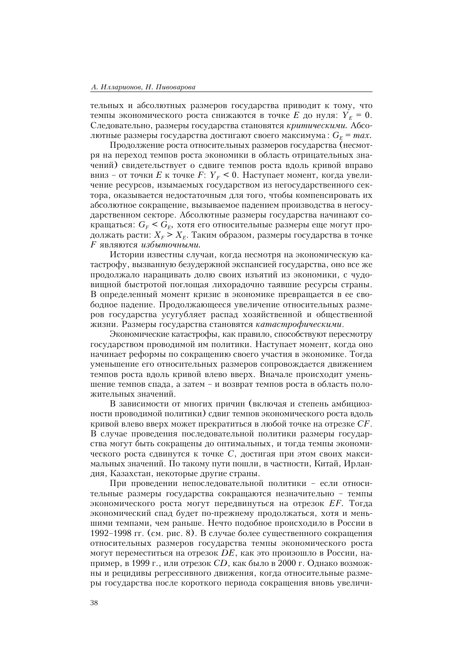тельных и абсолютных размеров государства приводит к тому, что темпы экономического роста снижаются в точке E до нуля:  $Y_F = 0$ . Следовательно, размеры государства становятся критическими. Абсолютные размеры государства достигают своего максимума:  $G<sub>F</sub> = max$ .

Продолжение роста относительных размеров государства (несмотря на переход темпов роста экономики в область отрицательных значений) свидетельствует о сдвиге темпов роста вдоль кривой вправо вниз – от точки E к точке F:  $Y_F$  < 0. Наступает момент, когда увеличение ресурсов, изымаемых государством из негосударственного сектора, оказывается недостаточным для того, чтобы компенсировать их абсолютное сокращение, вызываемое падением производства в негосударственном секторе. Абсолютные размеры государства начинают сокращаться:  $G_F < G_F$ , хотя его относительные размеры еще могут продолжать расти:  $X_F > X_F$ . Таким образом, размеры государства в точке *F являются избыточными.* 

Истории известны случаи, когда несмотря на экономическую катастрофу, вызванную безудержной экспансией государства, оно все же продолжало наращивать долю своих изъятий из экономики, с чудовищной быстротой поглощая лихорадочно таявшие ресурсы страны. В определенный момент кризис в экономике превращается в ее свободное падение. Продолжающееся увеличение относительных размеров государства усугубляет распад хозяйственной и общественной жизни. Размеры государства становятся катастрофическими.

Экономические катастрофы, как правило, способствуют пересмотру государством проводимой им политики. Наступает момент, когда оно начинает реформы по сокращению своего участия в экономике. Тогда уменьшение его относительных размеров сопровождается движением темпов роста вдоль кривой влево вверх. Вначале происходит уменьшение темпов спада, а затем - и возврат темпов роста в область положительных значений.

В зависимости от многих причин (включая и степень амбициозности проводимой политики) сдвиг темпов экономического роста вдоль кривой влево вверх может прекратиться в любой точке на отрезке  $CF$ . В случае проведения последовательной политики размеры государства могут быть сокращены до оптимальных, и тогда темпы экономического роста сдвинутся к точке С, достигая при этом своих максимальных значений. По такому пути пошли, в частности, Китай, Ирландия, Казахстан, некоторые другие страны.

При проведении непоследовательной политики - если относительные размеры государства сокращаются незначительно - темпы экономического роста могут передвинуться на отрезок ЕF. Тогда экономический спад будет по-прежнему продолжаться, хотя и меньшими темпами, чем раньше. Нечто подобное происходило в России в 1992–1998 гг. (см. рис. 8). В случае более существенного сокращения относительных размеров государства темпы экономического роста могут переместиться на отрезок DE, как это произошло в России, например, в 1999 г., или отрезок СD, как было в 2000 г. Однако возможны и рецидивы регрессивного движения, когда относительные размеры государства после короткого периода сокращения вновь увеличи-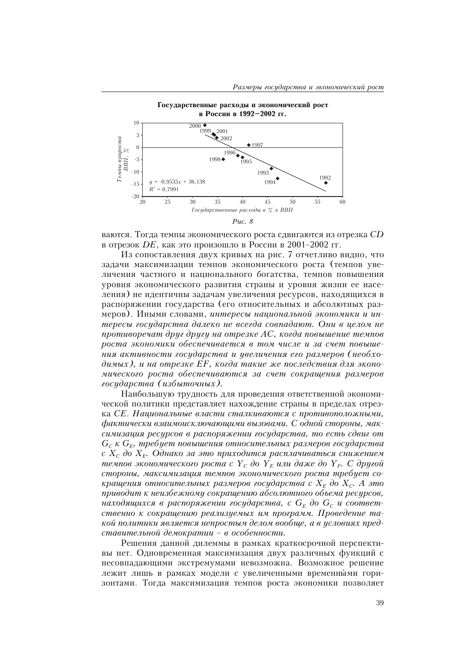

ваются. Тогда темпы экономического роста сдвигаются из отрезка  $CD$ в отрезок DE, как это произошло в России в 2001-2002 гг.

Из сопоставления двух кривых на рис. 7 отчетливо видно, что задачи максимизации темпов экономического роста (темпов увеличения частного и национального богатства, темпов повышения уровня экономического развития страны и уровня жизни ее населения) не идентичны задачам увеличения ресурсов, находящихся в распоряжении государства (его относительных и абсолютных размеров). Иными словами, интересы национальной экономики и интересы государства далеко не всегда совпадают. Они в целом не противоречат друг другу на отрезке АС, когда повышение темпов роста экономики обеспечивается в том числе и за счет повышения активности государства и увеличения его размеров (необходимых), и на отрезке ЕF, когда такие же последствия для экономического роста обеспечиваются за счет сокращения размеров государства (избыточных).

Наибольшую трудность для проведения ответственной экономической политики представляет нахождение страны в пределах отрезка СЕ. Национальные власти сталкиваются с противоположными, фактически взаимоисключающими вызовами. С одной стороны, максимизация ресурсов в распоряжении государства, то есть сдвиг от  $G_c$  к  $G_E$ , требует повышения относительных размеров государства с  $X_c$ до  $X_F$ . Однако за это приходится расплачиваться снижением темпов экономического роста с  $Y_c$  до  $Y_F$  или даже до  $Y_F$ . С другой стороны, максимизация темпов экономического роста требует сокращения относительных размеров государства с  $X_F$  до  $X_C$ . А это приводит к неизбежному сокращению абсолютного объема ресурсов, находящихся в распоряжении государства, с  $G_E$  до  $G_C$  и соответственно к сокращению реализуемых им программ. Проведение такой политики является непростым делом вообще, а в условиях представительной демократии - в особенности.

Решения данной дилеммы в рамках краткосрочной перспективы нет. Одновременная максимизация двух различных функций с несовпадающими экстремумами невозможна. Возможное решение лежит лишь в рамках модели с увеличенными временными горизонтами. Тогда максимизация темпов роста экономики позволяет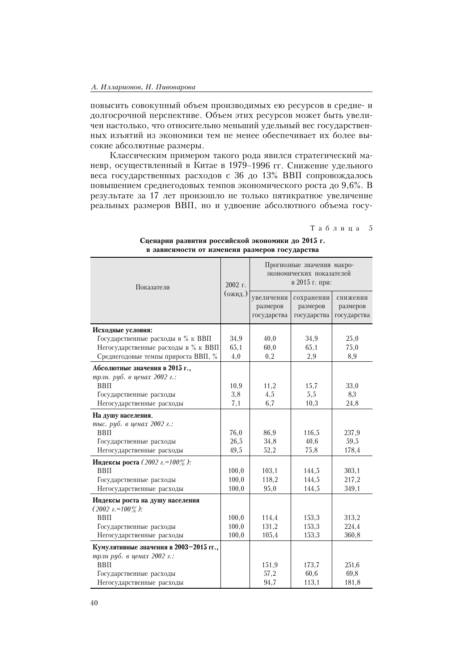повысить совокупный объем производимых ею ресурсов в средне-и долгосрочной перспективе. Объем этих ресурсов может быть увеличен настолько, что относительно меньший удельный вес государственных изъятий из экономики тем не менее обеспечивает их более высокие абсолютные размеры.

Классическим примером такого рода явился стратегический маневр, осуществленный в Китае в 1979-1996 гг. Снижение удельного веса государственных расходов с 36 до 13% ВВП сопровождалось повышением среднегодовых темпов экономического роста до 9,6%. В результате за 17 лет произошло не только пятикратное увеличение реальных размеров ВВП, но и удвоение абсолютного объема госу-

Таблица 5

| Показатели                             | 2002 г. | Прогнозные значения макро-<br>экономических показателей<br>в 2015 г. при: |               |               |  |  |  |
|----------------------------------------|---------|---------------------------------------------------------------------------|---------------|---------------|--|--|--|
|                                        | (ожид.) | увеличении                                                                | сохранении    | снижении      |  |  |  |
|                                        |         | размеров                                                                  | размеров      | размеров      |  |  |  |
|                                        |         | государства                                                               | государства   | государства   |  |  |  |
| Исходные условия:                      |         |                                                                           |               |               |  |  |  |
| Государственные расходы в % к ВВП      | 34,9    | 40,0                                                                      | 34,9          | 25,0          |  |  |  |
| Негосударственные расходы в % к ВВП    | 65,1    | 60,0                                                                      | 65,1          | 75,0          |  |  |  |
| Среднегодовые темпы прироста ВВП, %    | 4,0     | 0,2                                                                       | 2,9           | 8,9           |  |  |  |
| Абсолютные значения в 2015 г.,         |         |                                                                           |               |               |  |  |  |
| трлн. руб. в ценах 2002 г.:            |         |                                                                           |               |               |  |  |  |
| $BB\Pi$                                | 10,9    | 11,2                                                                      | 15,7          | 33,0          |  |  |  |
| Государственные расходы                | 3,8     | 4,5                                                                       | 5,5           | 8,3           |  |  |  |
| Негосударственные расходы              | 7,1     | 6,7                                                                       | 10,3          | 24,8          |  |  |  |
| На душу населения,                     |         |                                                                           |               |               |  |  |  |
| тыс. руб. в ценах 2002 г.:             |         |                                                                           |               |               |  |  |  |
| $BB\Pi$                                | 76,0    | 86,9                                                                      | 116,5         | 237,9         |  |  |  |
| Государственные расходы                | 26,5    | 34,8                                                                      | 40,6          | 59,5          |  |  |  |
| Негосударственные расходы              | 49,5    | 52,2                                                                      | 75,8          | 178,4         |  |  |  |
| Индексы роста (2002 г.=100%):          |         |                                                                           |               |               |  |  |  |
| <b>BBII</b>                            | 100,0   | 103,1                                                                     | 144,5         | 303,1         |  |  |  |
| Государственные расходы                | 100,0   | 118,2                                                                     | 144,5         | 217,2         |  |  |  |
| Негосударственные расходы              | 100,0   | 95,0                                                                      | 144,5         | 349,1         |  |  |  |
| Индексы роста на душу населения        |         |                                                                           |               |               |  |  |  |
| $(2002 \t2. = 100\%)$                  |         |                                                                           |               |               |  |  |  |
| $BB\Pi$                                | 100,0   | 114,4                                                                     | 153,3         | 313,2         |  |  |  |
| Государственные расходы                | 100,0   | 131,2                                                                     | 153,3         | 224,4         |  |  |  |
| Негосударственные расходы              | 100,0   | 105,4                                                                     | 153,3         | 360,8         |  |  |  |
| Кумулятивные значения в 2003-2015 гг., |         |                                                                           |               |               |  |  |  |
| трлн руб. в ценах 2002 г.:             |         |                                                                           |               |               |  |  |  |
| $BB\Pi$                                |         | 151,9<br>57,2                                                             | 173,7<br>60,6 | 251,6<br>69,8 |  |  |  |
| Государственные расходы                |         |                                                                           |               |               |  |  |  |
| Негосударственные расходы              |         | 94,7                                                                      | 113,1         | 181,8         |  |  |  |

Сценарии развития российской экономики до 2015 г. в зависимости от изменеия размеров государства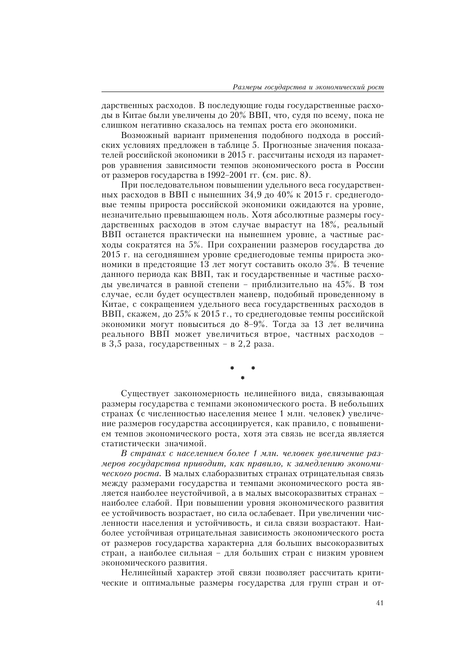дарственных расходов. В последующие годы государственные расходы в Китае были увеличены до 20% ВВП, что, судя по всему, пока не слишком негативно сказалось на темпах роста его экономики.

Возможный вариант применения подобного подхода в российских условиях предложен в таблице 5. Прогнозные значения показателей российской экономики в 2015 г. рассчитаны исходя из параметров уравнения зависимости темпов экономического роста в России от размеров государства в 1992-2001 гг. (см. рис. 8).

При последовательном повышении удельного веса государственных расходов в ВВП с нынешних 34,9 до 40% к 2015 г. среднегодовые темпы прироста российской экономики ожидаются на уровне, незначительно превышающем ноль. Хотя абсолютные размеры государственных расходов в этом случае вырастут на 18%, реальный ВВП останется практически на нынешнем уровне, а частные расходы сократятся на 5%. При сохранении размеров государства до 2015 г. на сегодняшнем уровне среднегодовые темпы прироста экономики в предстоящие 13 лет могут составить около 3%. В течение данного периода как ВВП, так и государственные и частные расходы увеличатся в равной степени - приблизительно на 45%. В том случае, если будет осуществлен маневр, подобный проведенному в Китае, с сокращением удельного веса государственных расходов в ВВП, скажем, до 25% к 2015 г., то среднегодовые темпы российской экономики могут повыситься до 8-9%. Тогда за 13 лет величина реального ВВП может увеличиться втрое, частных расходов в 3,5 раза, государственных - в 2,2 раза.

Существует закономерность нелинейного вида, связывающая размеры государства с темпами экономического роста. В небольших странах (с численностью населения менее 1 млн. человек) увеличение размеров государства ассоциируется, как правило, с повышением темпов экономического роста, хотя эта связь не всегда является статистически значимой.

В странах с населением более 1 млн. человек увеличение размеров государства приводит, как правило, к замедлению экономического роста. В малых слаборазвитых странах отрицательная связь между размерами государства и темпами экономического роста является наиболее неустойчивой, а в малых высокоразвитых странах наиболее слабой. При повышении уровня экономического развития ее устойчивость возрастает, но сила ослабевает. При увеличении численности населения и устойчивость, и сила связи возрастают. Наиболее устойчивая отрицательная зависимость экономического роста от размеров государства характерна для больших высокоразвитых стран, а наиболее сильная - для больших стран с низким уровнем экономического развития.

Нелинейный характер этой связи позволяет рассчитать критические и оптимальные размеры государства для групп стран и от-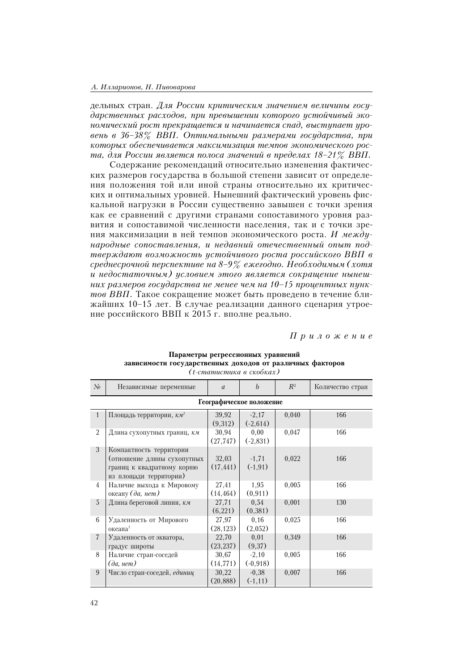#### А. Илларионов, Н. Пивоварова

дельных стран. Для России критическим значением величины государственных расходов, при превышении которого устойчивый экономический рост прекращается и начинается спад, выступает уровень в 36-38% ВВП. Оптимальными размерами государства, при которых обеспечивается максимизация темпов экономического роста, для России является полоса значений в пределах 18-21% ВВП.

Содержание рекомендаций относительно изменения фактических размеров государства в большой степени зависит от определения положения той или иной страны относительно их критических и оптимальных уровней. Нынешний фактический уровень фискальной нагрузки в России существенно завышен с точки зрения как ее сравнений с другими странами сопоставимого уровня развития и сопоставимой численности населения, так и с точки зрения максимизации в ней темпов экономического роста. И международные сопоставления, и недавний отечественный опыт подтверждают возможность устойчивого роста российского ВВП в среднесрочной перспективе на 8-9% ежегодно. Необходимым (хотя и недостаточным) условием этого является сокращение нынешних размеров государства не менее чем на 10-15 процентных пунктов ВВП. Такое сокращение может быть проведено в течение ближайших 10-15 лет. В случае реализации данного сценария утроение российского ВВП к 2015 г. вполне реально.

Приложение

|                 | (t-cmamucmuка в скобках)                                                                                       |                    |                       |       |                  |  |  |  |  |  |  |
|-----------------|----------------------------------------------------------------------------------------------------------------|--------------------|-----------------------|-------|------------------|--|--|--|--|--|--|
| $\mathcal{N}_2$ | Независимые переменные                                                                                         | $\overline{a}$     | $\boldsymbol{b}$      | $R^2$ | Количество стран |  |  |  |  |  |  |
|                 | Географическое положение                                                                                       |                    |                       |       |                  |  |  |  |  |  |  |
| $\mathbf{1}$    | Площадь территории, км <sup>2</sup>                                                                            | 39,92<br>(9,312)   | $-2,17$<br>$(-2,614)$ | 0,040 | 166              |  |  |  |  |  |  |
| $\overline{2}$  | Длина сухопутных границ, км                                                                                    | 30,94<br>(27, 747) | 0,00<br>$(-2,831)$    | 0,047 | 166              |  |  |  |  |  |  |
| 3               | Компактность территории<br>(отношение длины сухопутных<br>границ к квадратному корню<br>из площади территории) | 32,03<br>(17, 441) | $-1,71$<br>$(-1, 91)$ | 0,022 | 166              |  |  |  |  |  |  |
| 4               | Наличие выхода к Мировому<br>океану (да, нет)                                                                  | 27,41<br>(14, 464) | 1,95<br>(0, 911)      | 0,005 | 166              |  |  |  |  |  |  |
| 5               | Длина береговой линии, км                                                                                      | 27,71<br>(6,221)   | 0,54<br>(0,381)       | 0,001 | 130              |  |  |  |  |  |  |
| 6               | Удаленность от Мирового<br>океана <sup>1</sup>                                                                 | 27,97<br>(28, 123) | 0.16<br>(2,052)       | 0,025 | 166              |  |  |  |  |  |  |
| $\overline{7}$  | Удаленность от экватора,<br>градус широты                                                                      | 22,70<br>(23, 237) | 0,01<br>(9,37)        | 0,349 | 166              |  |  |  |  |  |  |
| 8               | Наличие стран-соседей<br>$(\partial a, nem)$                                                                   | 30,67<br>(14, 771) | $-2,10$<br>$(-0,918)$ | 0,005 | 166              |  |  |  |  |  |  |
| 9               | Число стран-соседей, единиц                                                                                    | 30,22<br>(20, 888) | $-0,38$<br>$(-1, 11)$ | 0,007 | 166              |  |  |  |  |  |  |

## Параметры регрессионных уравнений зависимости государственных доходов от различных факторов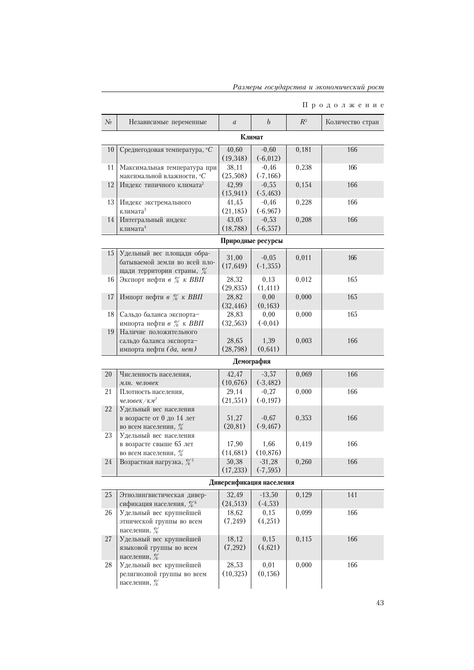|  | Размеры государства и экономический рост |  |
|--|------------------------------------------|--|
|  |                                          |  |
|  |                                          |  |

## $\Pi$ родолжение

| $\mathcal{N}_2$ | Независимые переменные                                      | $\boldsymbol{a}$   | $\boldsymbol{b}$         | $R^2$ | Количество стран |  |  |  |  |  |
|-----------------|-------------------------------------------------------------|--------------------|--------------------------|-------|------------------|--|--|--|--|--|
| Климат          |                                                             |                    |                          |       |                  |  |  |  |  |  |
| 10              | Среднегодовая температура, <sup>°</sup> С                   | 40,60              | $-0,60$                  | 0,181 | 166              |  |  |  |  |  |
|                 |                                                             | (19,348)           | $(-6, 012)$              |       |                  |  |  |  |  |  |
| 11              | Максимальная температура при                                | 38,11              | $-0,46$                  | 0,238 | 166              |  |  |  |  |  |
|                 | максимальной влажности, <sup>o</sup> С                      | (25,508)           | $(-7, 166)$              |       |                  |  |  |  |  |  |
| 12              | Индекс типичного климата <sup>2</sup>                       | 42,99              | $-0,55$                  | 0,154 | 166              |  |  |  |  |  |
|                 |                                                             | (15, 941)          | $(-5, 463)$              |       |                  |  |  |  |  |  |
| 13              | Индекс экстремального<br>климата <sup>3</sup>               | 41,45<br>(21, 185) | $-0,46$<br>$(-6, 967)$   | 0,228 | 166              |  |  |  |  |  |
| 14              | Интегральный индекс                                         | 43,05              | $-0,53$                  | 0,208 | 166              |  |  |  |  |  |
|                 | климата <sup>4</sup>                                        | (18, 788)          | $(-6, 557)$              |       |                  |  |  |  |  |  |
|                 |                                                             |                    | Природные ресурсы        |       |                  |  |  |  |  |  |
|                 |                                                             |                    |                          |       |                  |  |  |  |  |  |
| 15              | Удельный вес площади обра-<br>батываемой земли во всей пло- | 31,00              | $-0,05$                  | 0,011 | 166              |  |  |  |  |  |
|                 | щади территории страны, %                                   | (17, 649)          | $(-1, 355)$              |       |                  |  |  |  |  |  |
| 16              | Экспорт нефти в % к ВВП                                     | 28,32              | 0,13                     | 0,012 | 165              |  |  |  |  |  |
|                 |                                                             | (29, 835)          | (1, 411)                 |       |                  |  |  |  |  |  |
| 17              | Импорт нефти в % к ВВП                                      | 28,82              | 0,00                     | 0,000 | 165              |  |  |  |  |  |
|                 |                                                             | (32, 446)          | (0, 163)                 |       |                  |  |  |  |  |  |
| 18              | Сальдо баланса экспорта-                                    | 28,83              | 0,00                     | 0,000 | 165              |  |  |  |  |  |
|                 | импорта нефти в % к ВВП                                     | (32,563)           | $(-0,04)$                |       |                  |  |  |  |  |  |
| 19              | Наличие положительного                                      |                    |                          |       |                  |  |  |  |  |  |
|                 | сальдо баланса экспорта-                                    | 28,65              | 1,39                     | 0,003 | 166              |  |  |  |  |  |
|                 | импорта нефти (да, нет)                                     | (28, 798)          | (0,641)                  |       |                  |  |  |  |  |  |
|                 |                                                             |                    | Демография               |       |                  |  |  |  |  |  |
| 20              | Численность населения,                                      | 42,47              | $-3,57$                  | 0,069 | 166              |  |  |  |  |  |
|                 | млн. человек                                                | (10, 676)          | $(-3, 482)$              |       |                  |  |  |  |  |  |
| 21              | Плотность населения,                                        | 29,14              | $-0,27$                  | 0,000 | 166              |  |  |  |  |  |
|                 | человек/км <sup>2</sup>                                     | (21, 551)          | $(-0, 197)$              |       |                  |  |  |  |  |  |
| 22              | Удельный вес населения<br>в возрасте от 0 до 14 лет         | 51,27              | $-0,67$                  | 0,353 | 166              |  |  |  |  |  |
|                 | во всем населении, %                                        | (20, 81)           | $(-9, 467)$              |       |                  |  |  |  |  |  |
| 23              | Удельный вес населения                                      |                    |                          |       |                  |  |  |  |  |  |
|                 | в возрасте свыше 65 лет                                     | 17,90              | 1,66                     | 0,419 | 166              |  |  |  |  |  |
|                 | во всем населении, %                                        | (14,681)           | (10, 876)                |       |                  |  |  |  |  |  |
| 24              | Возрастная нагрузка, $\frac{\%}{6}$                         | 50,38              | $-31,28$                 | 0,260 | 166              |  |  |  |  |  |
|                 |                                                             | (17, 233)          | $(-7, 595)$              |       |                  |  |  |  |  |  |
|                 |                                                             |                    | Диверсификация населения |       |                  |  |  |  |  |  |
| $25\,$          | Этнолингвистическая дивер-                                  | 32,49              | $-13,50$                 | 0,129 | 141              |  |  |  |  |  |
|                 | сификация населения, % <sup>6</sup>                         | (24, 513)          | $(-4, 53)$               |       |                  |  |  |  |  |  |
| 26              | Удельный вес крупнейшей                                     | 18,62              | 0,15                     | 0,099 | 166              |  |  |  |  |  |
|                 | этнической группы во всем<br>населении, %                   | (7,249)            | (4,251)                  |       |                  |  |  |  |  |  |
| 27              | Удельный вес крупнейшей                                     | 18,12              | 0,15                     | 0,115 | 166              |  |  |  |  |  |
|                 | языковой группы во всем<br>населении, %                     | (7,292)            | (4,621)                  |       |                  |  |  |  |  |  |
| 28              | Удельный вес крупнейшей                                     | 28,53              | 0,01                     | 0,000 | 166              |  |  |  |  |  |
|                 | религиозной группы во всем<br>населении, $%$                | (10,325)           | (0, 156)                 |       |                  |  |  |  |  |  |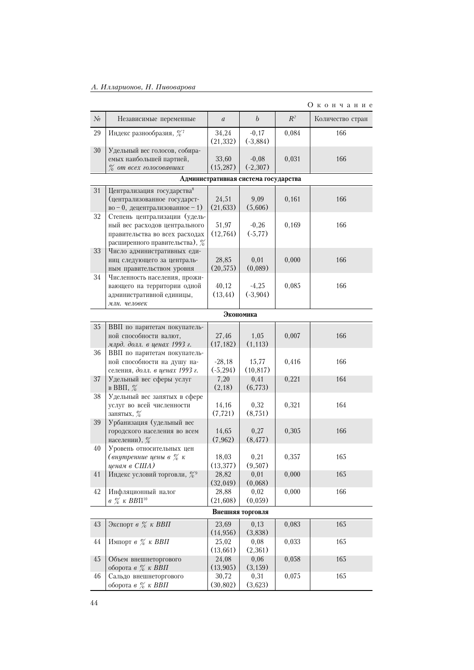|                 |                                                                                                                                       |                         |                                      |       | Окончание        |  |  |  |  |
|-----------------|---------------------------------------------------------------------------------------------------------------------------------------|-------------------------|--------------------------------------|-------|------------------|--|--|--|--|
| $\mathcal{N}_2$ | Независимые переменные                                                                                                                | $\boldsymbol{a}$        | $\boldsymbol{b}$                     | $R^2$ | Количество стран |  |  |  |  |
| 29              | Индекс разнообразия, $\frac{\%}{6}$                                                                                                   | 34,24<br>(21, 332)      | $-0,17$<br>$(-3,884)$                | 0,084 | 166              |  |  |  |  |
| 30              | Удельный вес голосов, собира-<br>емых наибольшей партией,<br>$\%$ от всех голосовавших                                                | 33,60<br>(15, 287)      | $-0,08$<br>$(-2,307)$                | 0,031 | 166              |  |  |  |  |
|                 |                                                                                                                                       |                         | Административная система государства |       |                  |  |  |  |  |
| 31              | Централизация государства <sup>8</sup>                                                                                                |                         |                                      |       |                  |  |  |  |  |
|                 | (централизованное государст-<br>$_{\rm BO} - 0$ , децентрализованное -1)                                                              | 24,51<br>(21, 633)      | 9,09<br>(5,606)                      | 0,161 | 166              |  |  |  |  |
| 32              | Степень централизации (удель-<br>ный вес расходов центрального<br>правительства во всех расходах<br>расширенного правительства), $\%$ | 51,97<br>(12, 764)      | $-0,26$<br>$(-5, 77)$                | 0,169 | 166              |  |  |  |  |
| 33              | Число административных еди-<br>ниц следующего за централь-<br>ным правительством уровня                                               | 28,85<br>(20, 575)      | 0,01<br>(0,089)                      | 0,000 | 166              |  |  |  |  |
| 34              | Численность населения, прожи-<br>вающего на территории одной<br>административной единицы,<br>млн. человек                             | 40,12<br>(13, 44)       | $-4,25$<br>(.3,904)                  | 0,085 | 166              |  |  |  |  |
|                 | Экономика                                                                                                                             |                         |                                      |       |                  |  |  |  |  |
| $35\,$          | ВВП по паритетам покупатель-<br>ной способности валют,<br>млрд. долл. в ценах 1993 г.                                                 | 27,46<br>(17, 182)      | 1,05<br>(1, 113)                     | 0,007 | 166              |  |  |  |  |
| 36              | ВВП по паритетам покупатель-<br>ной способности на душу на-<br>селения, долл. в ценах 1993 г.                                         | $-28,18$<br>$(-5, 294)$ | 15,77<br>(10, 817)                   | 0,416 | 166              |  |  |  |  |
| 37              | Удельный вес сферы услуг<br>в ВВП, $%$                                                                                                | 7,20<br>(2,18)          | 0,41<br>(6,773)                      | 0,221 | 164              |  |  |  |  |
| 38              | Удельный вес занятых в сфере<br>услуг во всей численности<br>занятых, %                                                               | 14,16<br>(7, 721)       | 0,32<br>(8,751)                      | 0,321 | 164              |  |  |  |  |
| 39              | Урбанизация (удельный вес<br>городского населения во всем<br>населении), $\%$                                                         | 14,65<br>(7, 962)       | 0,27<br>(8, 477)                     | 0,305 | 166              |  |  |  |  |
| 40              | Уровень относительных цен<br>(внутренние цены в $\%$ к<br>ценам в США)                                                                | 18,03<br>(13, 377)      | 0,21<br>(9,507)                      | 0,357 | 165              |  |  |  |  |
| $41\,$          | Индекс условий торговли, %                                                                                                            | 28,82<br>(32,049)       | 0,01<br>(0,068)                      | 0,000 | 165              |  |  |  |  |
| 42              | Инфляционный налог<br>$\theta$ % $\kappa$ BB $\Pi^{10}$                                                                               | 28,88<br>(21,608)       | 0,02<br>(0,059)                      | 0,000 | 166              |  |  |  |  |
|                 |                                                                                                                                       |                         | Внешняя торговля                     |       |                  |  |  |  |  |
| 43              | Экспорт в $\%$ к ВВП                                                                                                                  | 23,69<br>(14, 956)      | 0,13<br>(3,838)                      | 0,083 | 165              |  |  |  |  |
| $44\,$          | Импорт в % к ВВП                                                                                                                      | 25,02<br>(13,661)       | 0,08<br>(2,361)                      | 0,033 | 165              |  |  |  |  |
| 45              | Объем внешнеторгового<br>оборота в % к ВВП                                                                                            | 24,08<br>(13,905)       | 0,06<br>(3, 159)                     | 0,058 | 165              |  |  |  |  |
| 46              | Сальдо внешнеторгового<br>оборота в % к ВВП                                                                                           | 30,72<br>(30, 802)      | 0,31<br>(3,623)                      | 0,075 | 165              |  |  |  |  |